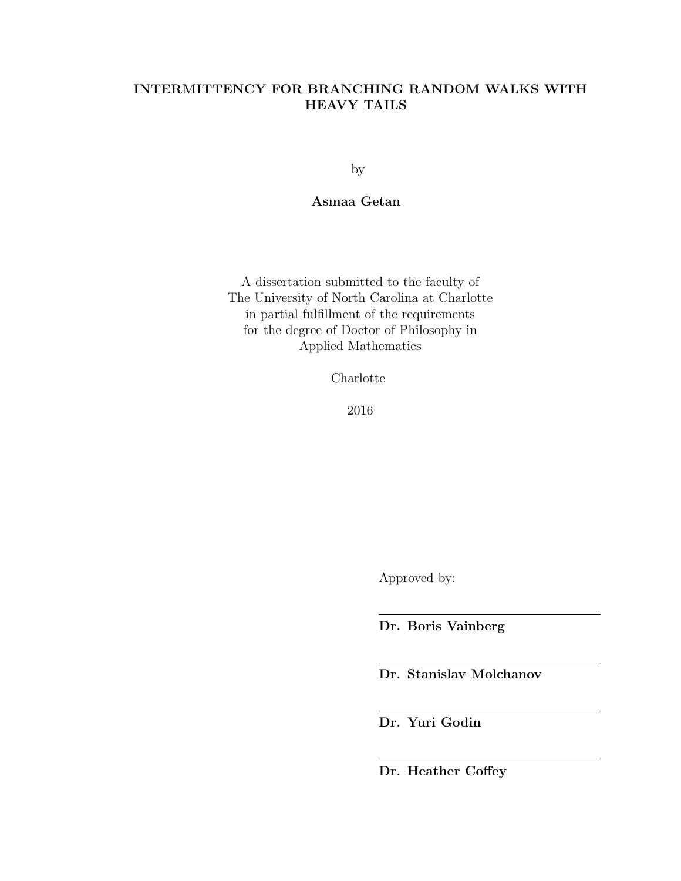# INTERMITTENCY FOR BRANCHING RANDOM WALKS WITH HEAVY TAILS

by

# Asmaa Getan

A dissertation submitted to the faculty of The University of North Carolina at Charlotte in partial fulfillment of the requirements for the degree of Doctor of Philosophy in Applied Mathematics

Charlotte

2016

Approved by:

Dr. Boris Vainberg

Dr. Stanislav Molchanov

Dr. Yuri Godin

Dr. Heather Coffey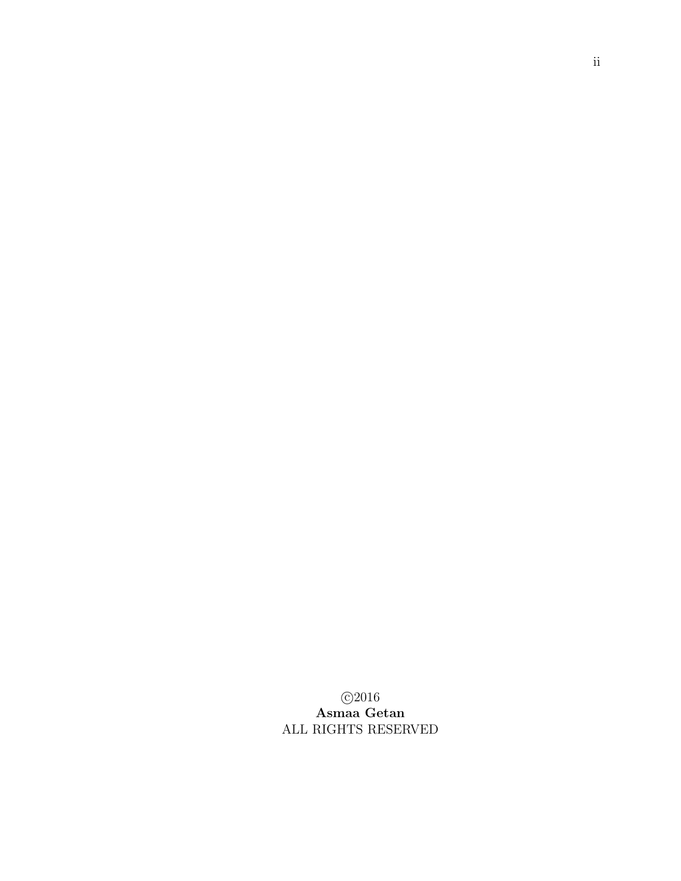$\bigcirc$ 2016 Asmaa Getan ALL RIGHTS RESERVED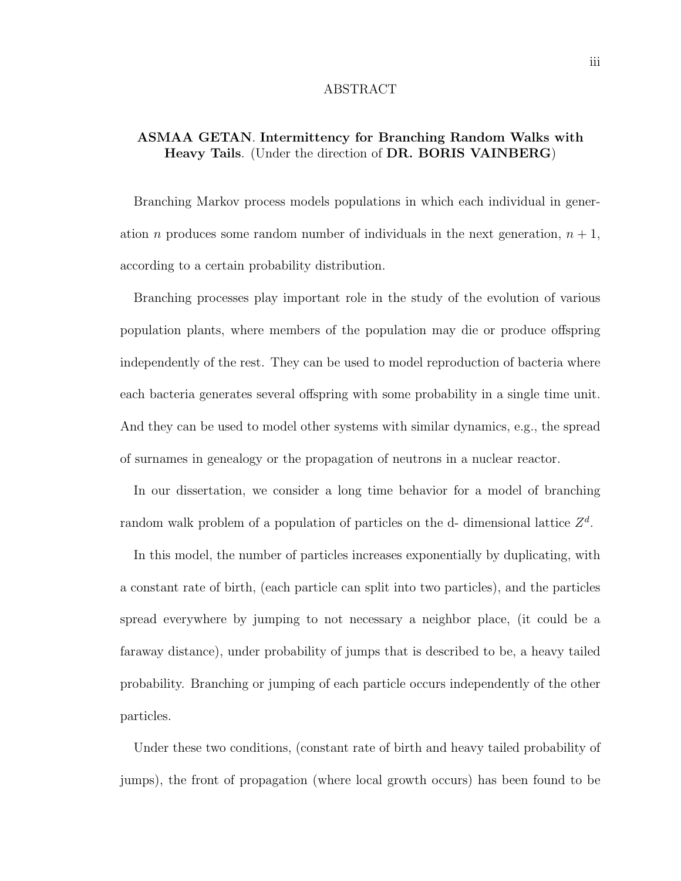#### ABSTRACT

# ASMAA GETAN. Intermittency for Branching Random Walks with Heavy Tails. (Under the direction of DR. BORIS VAINBERG)

Branching Markov process models populations in which each individual in generation *n* produces some random number of individuals in the next generation,  $n + 1$ , according to a certain probability distribution.

Branching processes play important role in the study of the evolution of various population plants, where members of the population may die or produce offspring independently of the rest. They can be used to model reproduction of bacteria where each bacteria generates several offspring with some probability in a single time unit. And they can be used to model other systems with similar dynamics, e.g., the spread of surnames in genealogy or the propagation of neutrons in a nuclear reactor.

In our dissertation, we consider a long time behavior for a model of branching random walk problem of a population of particles on the d- dimensional lattice  $Z<sup>d</sup>$ .

In this model, the number of particles increases exponentially by duplicating, with a constant rate of birth, (each particle can split into two particles), and the particles spread everywhere by jumping to not necessary a neighbor place, (it could be a faraway distance), under probability of jumps that is described to be, a heavy tailed probability. Branching or jumping of each particle occurs independently of the other particles.

Under these two conditions, (constant rate of birth and heavy tailed probability of jumps), the front of propagation (where local growth occurs) has been found to be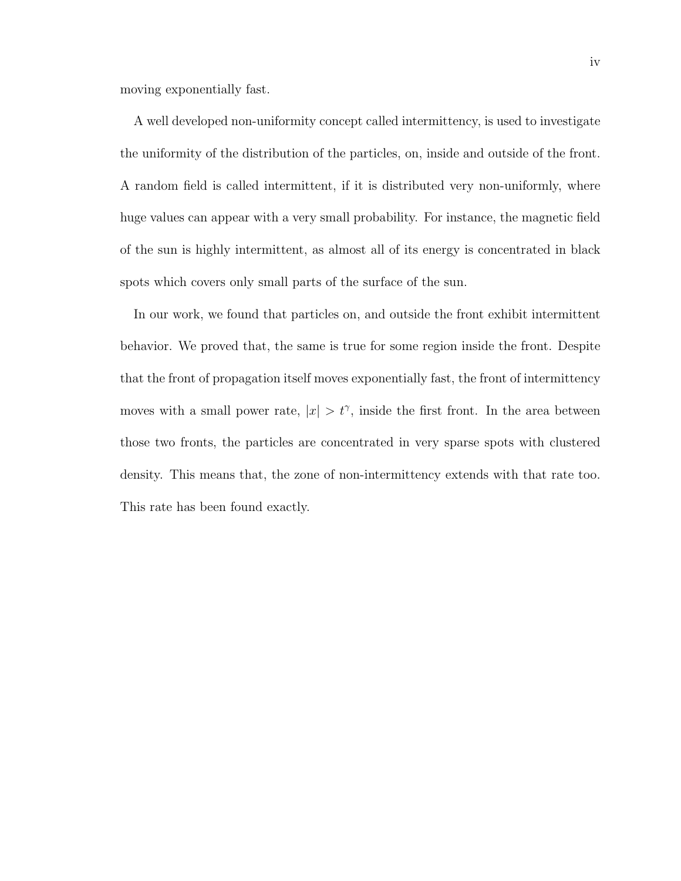moving exponentially fast.

A well developed non-uniformity concept called intermittency, is used to investigate the uniformity of the distribution of the particles, on, inside and outside of the front. A random field is called intermittent, if it is distributed very non-uniformly, where huge values can appear with a very small probability. For instance, the magnetic field of the sun is highly intermittent, as almost all of its energy is concentrated in black spots which covers only small parts of the surface of the sun.

In our work, we found that particles on, and outside the front exhibit intermittent behavior. We proved that, the same is true for some region inside the front. Despite that the front of propagation itself moves exponentially fast, the front of intermittency moves with a small power rate,  $|x| > t^{\gamma}$ , inside the first front. In the area between those two fronts, the particles are concentrated in very sparse spots with clustered density. This means that, the zone of non-intermittency extends with that rate too. This rate has been found exactly.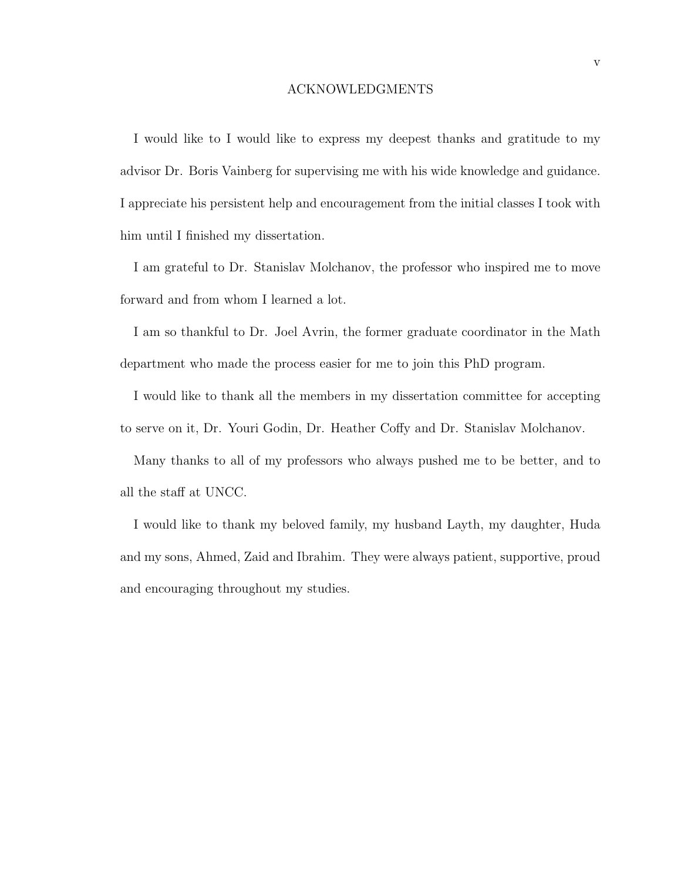#### ACKNOWLEDGMENTS

I would like to I would like to express my deepest thanks and gratitude to my advisor Dr. Boris Vainberg for supervising me with his wide knowledge and guidance. I appreciate his persistent help and encouragement from the initial classes I took with him until I finished my dissertation.

I am grateful to Dr. Stanislav Molchanov, the professor who inspired me to move forward and from whom I learned a lot.

I am so thankful to Dr. Joel Avrin, the former graduate coordinator in the Math department who made the process easier for me to join this PhD program.

I would like to thank all the members in my dissertation committee for accepting to serve on it, Dr. Youri Godin, Dr. Heather Coffy and Dr. Stanislav Molchanov.

Many thanks to all of my professors who always pushed me to be better, and to all the staff at UNCC.

I would like to thank my beloved family, my husband Layth, my daughter, Huda and my sons, Ahmed, Zaid and Ibrahim. They were always patient, supportive, proud and encouraging throughout my studies.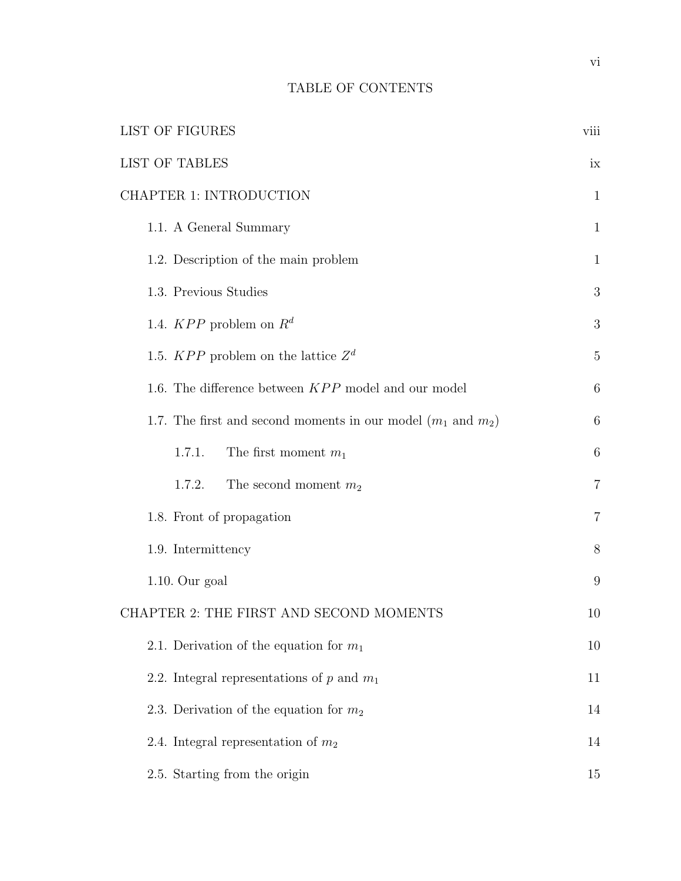# TABLE OF CONTENTS

| <b>LIST OF FIGURES</b>                                                  | viii           |
|-------------------------------------------------------------------------|----------------|
| <b>LIST OF TABLES</b>                                                   | ix             |
| CHAPTER 1: INTRODUCTION                                                 | $\mathbf{1}$   |
| 1.1. A General Summary                                                  | $\mathbf{1}$   |
| 1.2. Description of the main problem                                    | $\mathbf{1}$   |
| 1.3. Previous Studies                                                   | 3              |
| 1.4. $KPP$ problem on $R^d$                                             | 3              |
| 1.5. $KPP$ problem on the lattice $\mathbb{Z}^d$                        | $\overline{5}$ |
| 1.6. The difference between KPP model and our model                     | 6              |
| 1.7. The first and second moments in our model $(m_1 \text{ and } m_2)$ | 6              |
| 1.7.1.<br>The first moment $m_1$                                        | 6              |
| The second moment $m_2$<br>1.7.2.                                       | $\overline{7}$ |
| 1.8. Front of propagation                                               | $\overline{7}$ |
| 1.9. Intermittency                                                      | 8              |
| $1.10.$ Our goal                                                        | 9              |
| CHAPTER 2: THE FIRST AND SECOND MOMENTS                                 | 10             |
| 2.1. Derivation of the equation for $m_1$                               | 10             |
| 2.2. Integral representations of p and $m_1$                            | 11             |
| 2.3. Derivation of the equation for $m_2$                               | 14             |
| 2.4. Integral representation of $m_2$                                   | 14             |
| 2.5. Starting from the origin                                           | 15             |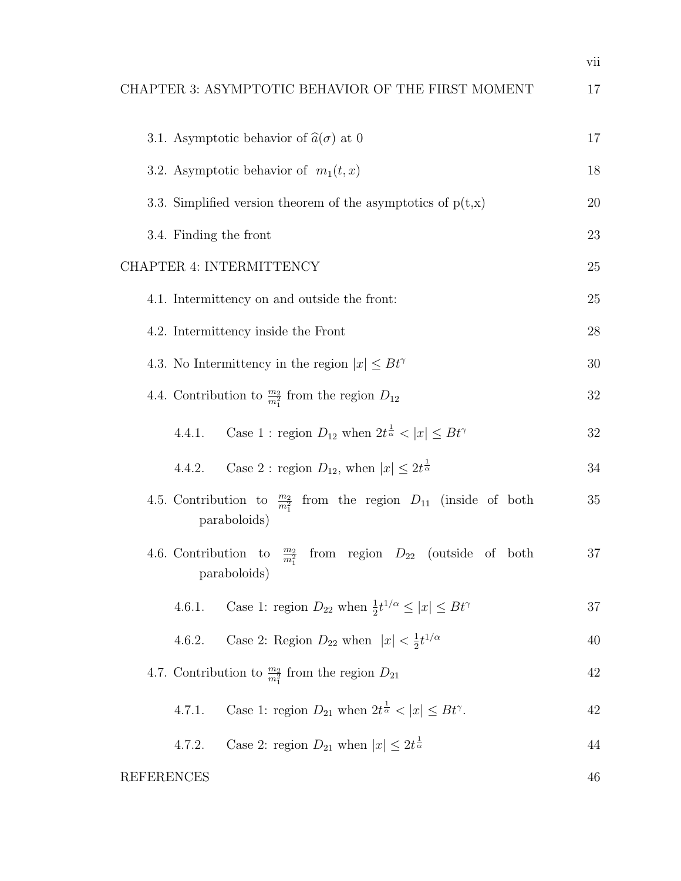|                                                                                                   | vii |
|---------------------------------------------------------------------------------------------------|-----|
| CHAPTER 3: ASYMPTOTIC BEHAVIOR OF THE FIRST MOMENT                                                | 17  |
| 3.1. Asymptotic behavior of $\hat{a}(\sigma)$ at 0                                                | 17  |
| 3.2. Asymptotic behavior of $m_1(t, x)$                                                           | 18  |
| 3.3. Simplified version theorem of the asymptotics of $p(t,x)$                                    | 20  |
| 3.4. Finding the front                                                                            | 23  |
| CHAPTER 4: INTERMITTENCY                                                                          | 25  |
| 4.1. Intermittency on and outside the front:                                                      | 25  |
| 4.2. Intermittency inside the Front                                                               | 28  |
| 4.3. No Intermittency in the region $ x  \leq B t^{\gamma}$                                       | 30  |
| 4.4. Contribution to $\frac{m_2}{m_1^2}$ from the region $D_{12}$                                 | 32  |
| Case 1 : region $D_{12}$ when $2t^{\frac{1}{\alpha}} <  x  \le Bt^{\gamma}$<br>4.4.1.             | 32  |
| Case 2 : region $D_{12}$ , when $ x  \leq 2t^{\frac{1}{\alpha}}$<br>4.4.2.                        | 34  |
| 4.5. Contribution to $\frac{m_2}{m_1^2}$ from the region $D_{11}$ (inside of both<br>paraboloids) | 35  |
| 4.6. Contribution to $\frac{m_2}{m_1^2}$ from region $D_{22}$ (outside of both<br>paraboloids)    | 37  |
| Case 1: region $D_{22}$ when $\frac{1}{2}t^{1/\alpha} \leq  x  \leq Bt^{\gamma}$<br>4.6.1.        | 37  |
| Case 2: Region $D_{22}$ when $ x  < \frac{1}{2}t^{1/\alpha}$<br>4.6.2.                            | 40  |
| 4.7. Contribution to $\frac{m_2}{m_1^2}$ from the region $D_{21}$                                 | 42  |
| Case 1: region $D_{21}$ when $2t^{\frac{1}{\alpha}} <  x  \le Bt^{\gamma}$ .<br>4.7.1.            | 42  |
| Case 2: region $D_{21}$ when $ x  \leq 2t^{\frac{1}{\alpha}}$<br>4.7.2.                           | 44  |

REFERENCES 46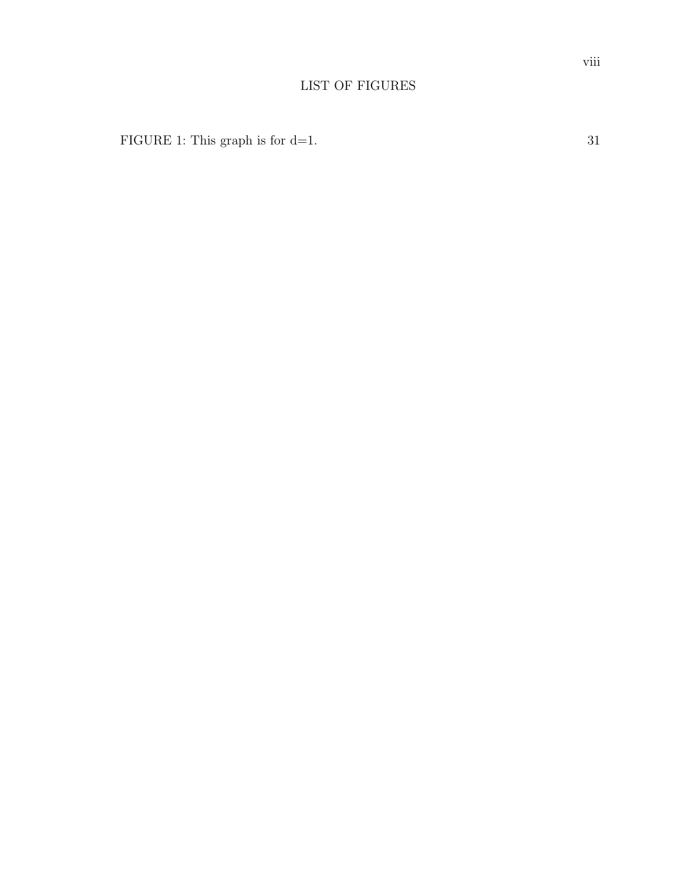# LIST OF FIGURES

FIGURE 1: This graph is for d=1. 31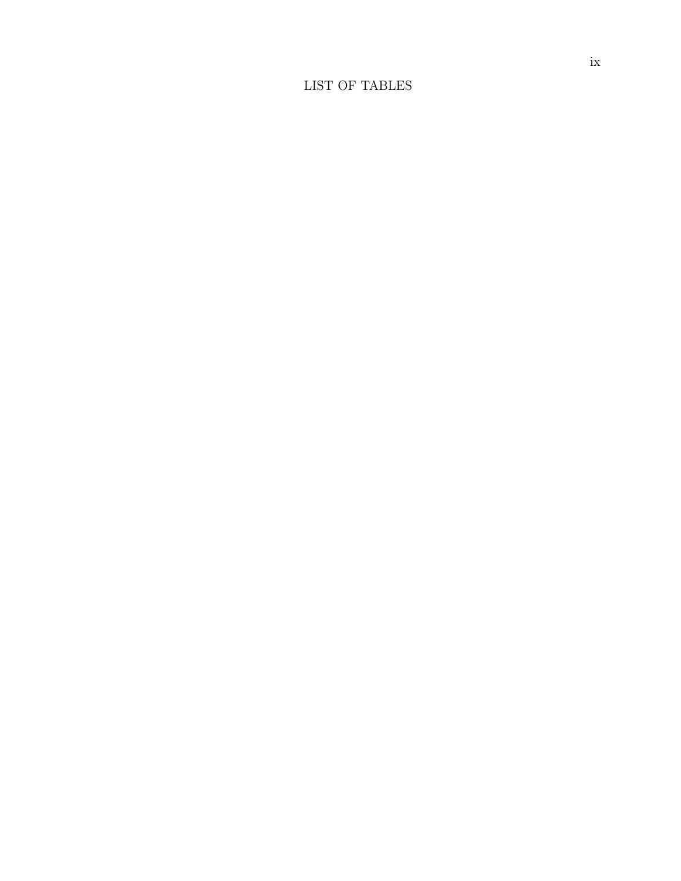# LIST OF TABLES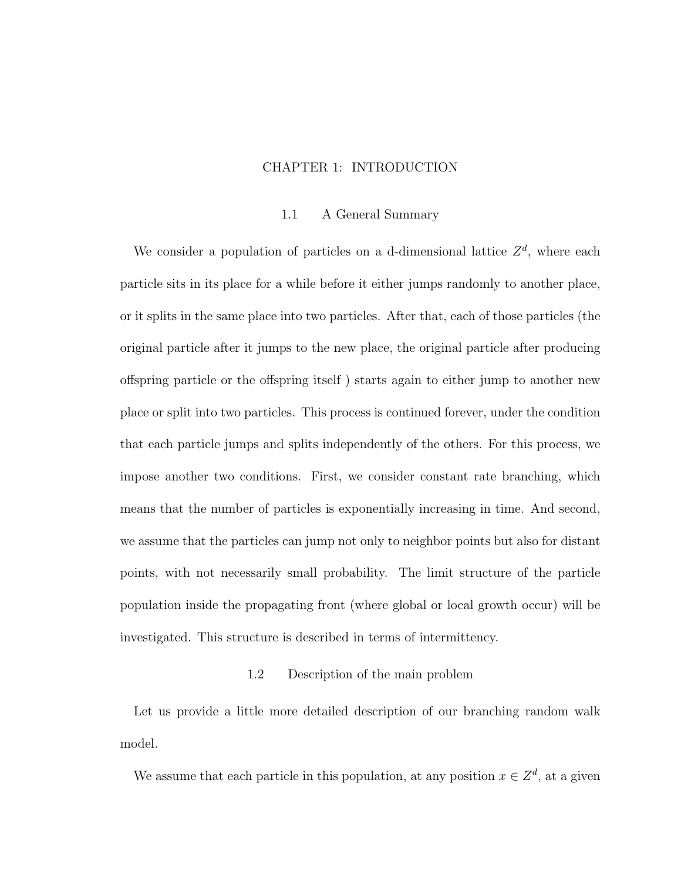#### CHAPTER 1: INTRODUCTION

#### 1.1 A General Summary

We consider a population of particles on a d-dimensional lattice  $Z<sup>d</sup>$ , where each particle sits in its place for a while before it either jumps randomly to another place, or it splits in the same place into two particles. After that, each of those particles (the original particle after it jumps to the new place, the original particle after producing offspring particle or the offspring itself ) starts again to either jump to another new place or split into two particles. This process is continued forever, under the condition that each particle jumps and splits independently of the others. For this process, we impose another two conditions. First, we consider constant rate branching, which means that the number of particles is exponentially increasing in time. And second, we assume that the particles can jump not only to neighbor points but also for distant points, with not necessarily small probability. The limit structure of the particle population inside the propagating front (where global or local growth occur) will be investigated. This structure is described in terms of intermittency.

#### 1.2 Description of the main problem

Let us provide a little more detailed description of our branching random walk model.

We assume that each particle in this population, at any position  $x \in \mathbb{Z}^d$ , at a given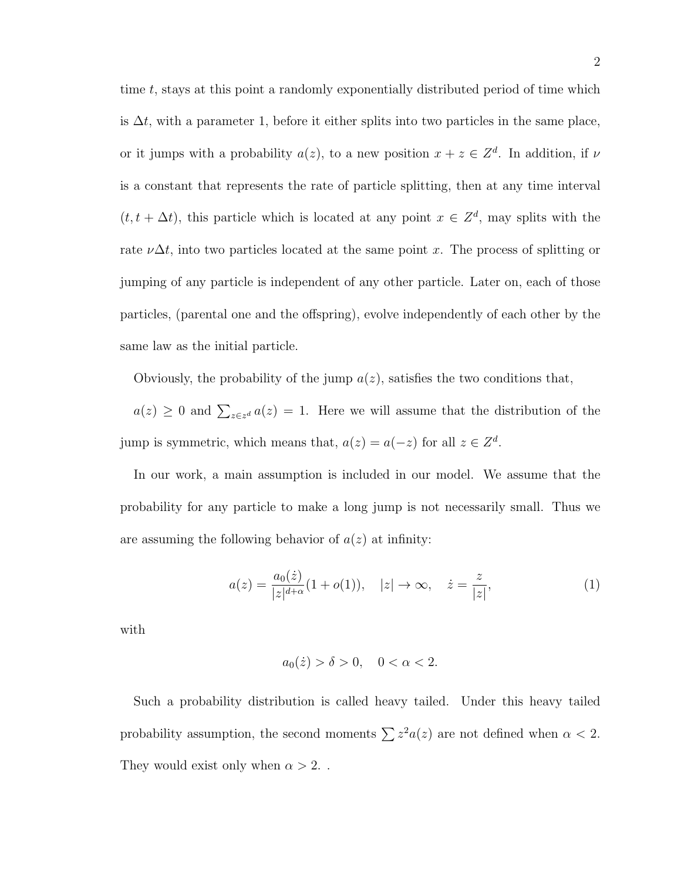time t, stays at this point a randomly exponentially distributed period of time which is  $\Delta t$ , with a parameter 1, before it either splits into two particles in the same place, or it jumps with a probability  $a(z)$ , to a new position  $x + z \in \mathbb{Z}^d$ . In addition, if  $\nu$ is a constant that represents the rate of particle splitting, then at any time interval  $(t, t + \Delta t)$ , this particle which is located at any point  $x \in \mathbb{Z}^d$ , may splits with the rate  $\nu \Delta t$ , into two particles located at the same point x. The process of splitting or jumping of any particle is independent of any other particle. Later on, each of those particles, (parental one and the offspring), evolve independently of each other by the same law as the initial particle.

Obviously, the probability of the jump  $a(z)$ , satisfies the two conditions that,

 $a(z) \geq 0$  and  $\sum_{z \in z^d} a(z) = 1$ . Here we will assume that the distribution of the jump is symmetric, which means that,  $a(z) = a(-z)$  for all  $z \in \mathbb{Z}^d$ .

In our work, a main assumption is included in our model. We assume that the probability for any particle to make a long jump is not necessarily small. Thus we are assuming the following behavior of  $a(z)$  at infinity:

$$
a(z) = \frac{a_0(\dot{z})}{|z|^{d+\alpha}} (1 + o(1)), \quad |z| \to \infty, \quad \dot{z} = \frac{z}{|z|}, \tag{1}
$$

with

$$
a_0(\dot{z}) > \delta > 0, \quad 0 < \alpha < 2.
$$

Such a probability distribution is called heavy tailed. Under this heavy tailed probability assumption, the second moments  $\sum z^2 a(z)$  are not defined when  $\alpha < 2$ . They would exist only when  $\alpha > 2$ ...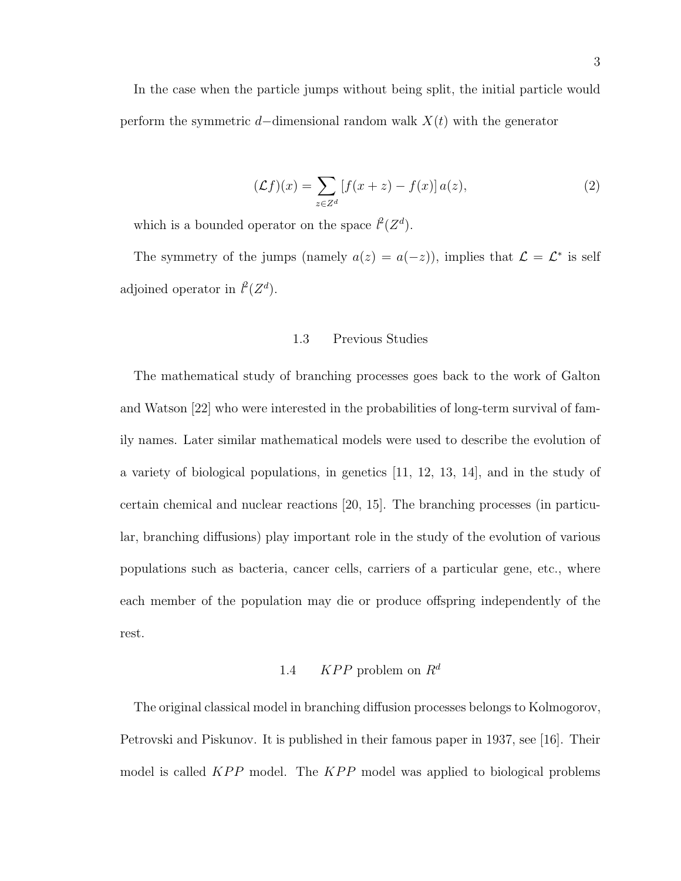In the case when the particle jumps without being split, the initial particle would perform the symmetric d–dimensional random walk  $X(t)$  with the generator

$$
(\mathcal{L}f)(x) = \sum_{z \in Z^d} \left[ f(x+z) - f(x) \right] a(z),\tag{2}
$$

which is a bounded operator on the space  $l^2(Z^d)$ .

The symmetry of the jumps (namely  $a(z) = a(-z)$ ), implies that  $\mathcal{L} = \mathcal{L}^*$  is self adjoined operator in  $l^2(Z^d)$ .

#### 1.3 Previous Studies

The mathematical study of branching processes goes back to the work of Galton and Watson [22] who were interested in the probabilities of long-term survival of family names. Later similar mathematical models were used to describe the evolution of a variety of biological populations, in genetics [11, 12, 13, 14], and in the study of certain chemical and nuclear reactions [20, 15]. The branching processes (in particular, branching diffusions) play important role in the study of the evolution of various populations such as bacteria, cancer cells, carriers of a particular gene, etc., where each member of the population may die or produce offspring independently of the rest.

# 1.4 KPP problem on  $R^d$

The original classical model in branching diffusion processes belongs to Kolmogorov, Petrovski and Piskunov. It is published in their famous paper in 1937, see [16]. Their model is called  $KPP$  model. The  $KPP$  model was applied to biological problems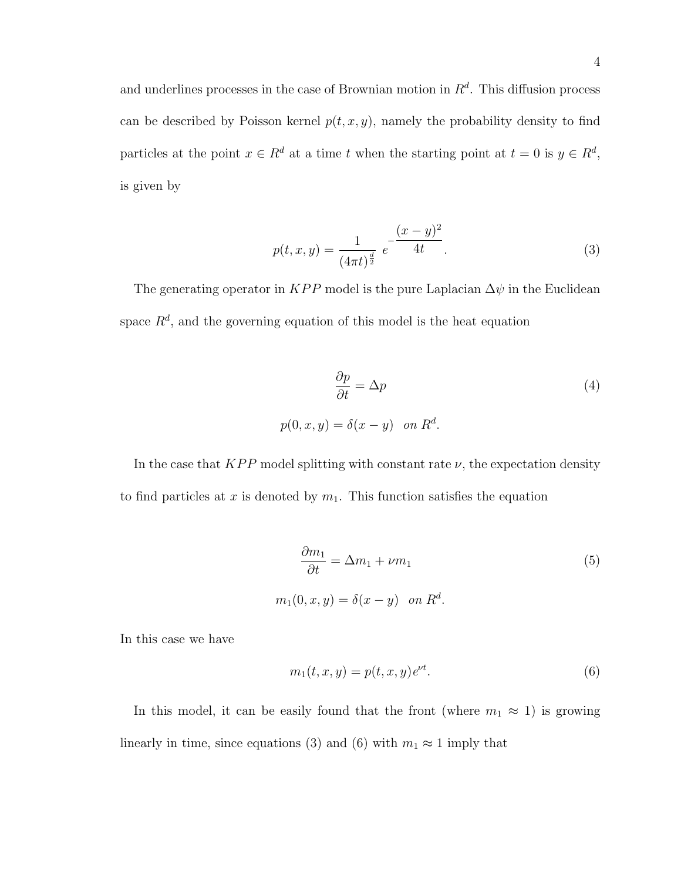and underlines processes in the case of Brownian motion in  $R<sup>d</sup>$ . This diffusion process can be described by Poisson kernel  $p(t, x, y)$ , namely the probability density to find particles at the point  $x \in R^d$  at a time t when the starting point at  $t = 0$  is  $y \in R^d$ , is given by

$$
p(t, x, y) = \frac{1}{(4\pi t)^{\frac{d}{2}}} e^{-\frac{(x-y)^2}{4t}}.
$$
\n(3)

The generating operator in KPP model is the pure Laplacian  $\Delta \psi$  in the Euclidean space  $R<sup>d</sup>$ , and the governing equation of this model is the heat equation

$$
\frac{\partial p}{\partial t} = \Delta p \tag{4}
$$
\n
$$
p(0, x, y) = \delta(x - y) \quad on \ R^d.
$$

In the case that  $KPP$  model splitting with constant rate  $\nu$ , the expectation density to find particles at x is denoted by  $m_1$ . This function satisfies the equation

$$
\frac{\partial m_1}{\partial t} = \Delta m_1 + \nu m_1
$$
  
\n
$$
m_1(0, x, y) = \delta(x - y) \quad \text{on } R^d.
$$
\n(5)

In this case we have

$$
m_1(t, x, y) = p(t, x, y)e^{\nu t}.
$$
\n(6)

In this model, it can be easily found that the front (where  $m_1 \approx 1$ ) is growing linearly in time, since equations (3) and (6) with  $m_1 \approx 1$  imply that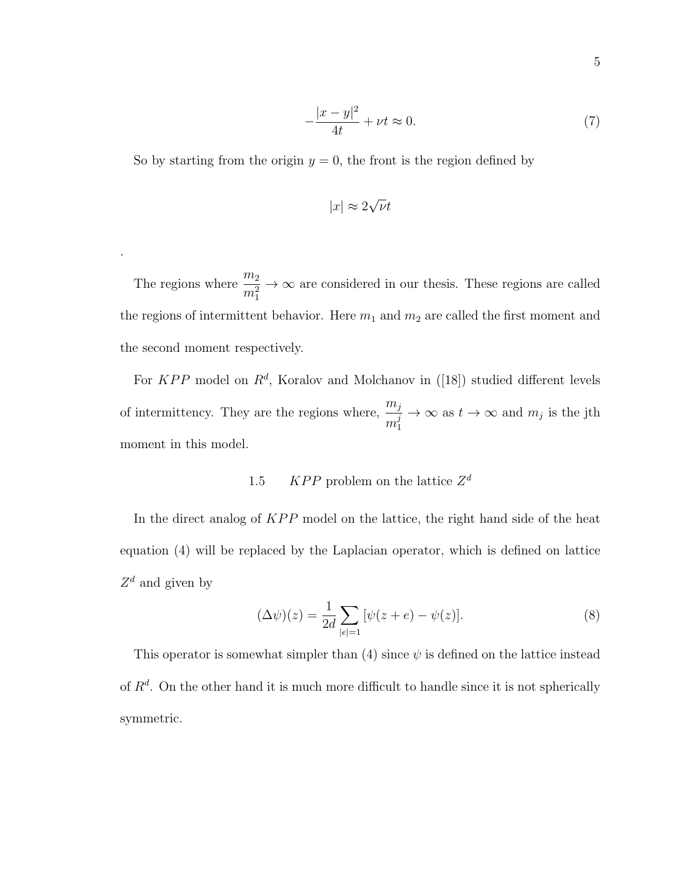$$
-\frac{|x-y|^2}{4t} + \nu t \approx 0. \tag{7}
$$

So by starting from the origin  $y = 0$ , the front is the region defined by

.

$$
|x| \approx 2\sqrt{\nu}t
$$

The regions where  $\frac{m_2}{2}$  $m_1^2$  $\rightarrow \infty$  are considered in our thesis. These regions are called the regions of intermittent behavior. Here  $m_1$  and  $m_2$  are called the first moment and the second moment respectively.

For  $KPP$  model on  $R^d$ , Koralov and Molchanov in ([18]) studied different levels of intermittency. They are the regions where,  $\frac{m_j}{i}$  $m_1^j$ 1  $\rightarrow \infty$  as  $t \rightarrow \infty$  and  $m_j$  is the jth moment in this model.

# 1.5 KPP problem on the lattice  $Z^d$

In the direct analog of  $KPP$  model on the lattice, the right hand side of the heat equation (4) will be replaced by the Laplacian operator, which is defined on lattice  $Z^d$  and given by

$$
(\Delta \psi)(z) = \frac{1}{2d} \sum_{|e|=1} [\psi(z+e) - \psi(z)].
$$
\n(8)

This operator is somewhat simpler than (4) since  $\psi$  is defined on the lattice instead of  $R<sup>d</sup>$ . On the other hand it is much more difficult to handle since it is not spherically symmetric.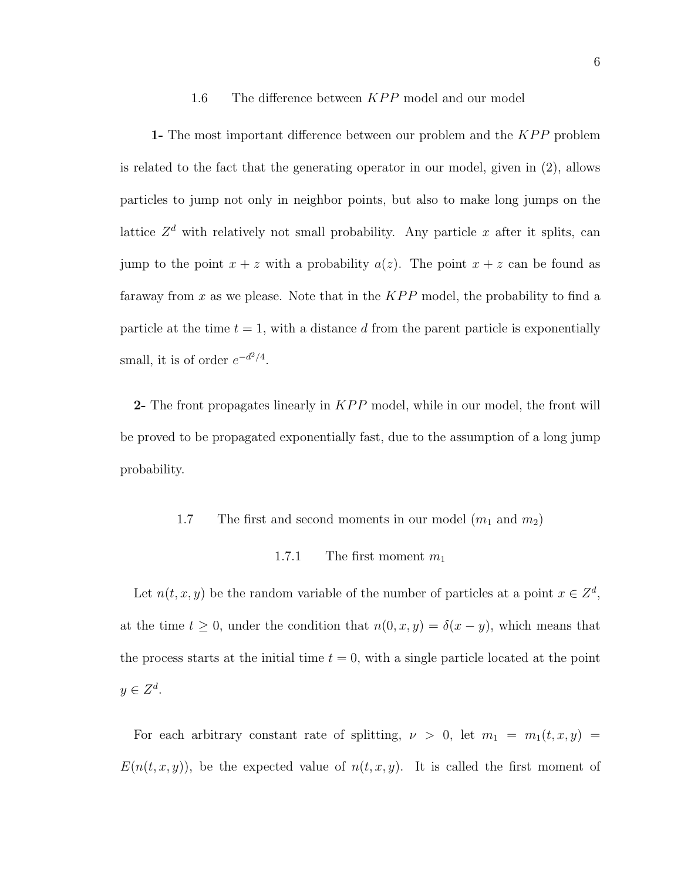# 1.6 The difference between  $KPP$  model and our model

1- The most important difference between our problem and the  $KPP$  problem is related to the fact that the generating operator in our model, given in (2), allows particles to jump not only in neighbor points, but also to make long jumps on the lattice  $Z<sup>d</sup>$  with relatively not small probability. Any particle x after it splits, can jump to the point  $x + z$  with a probability  $a(z)$ . The point  $x + z$  can be found as faraway from x as we please. Note that in the  $KPP$  model, the probability to find a particle at the time  $t = 1$ , with a distance d from the parent particle is exponentially small, it is of order  $e^{-d^2/4}$ .

2- The front propagates linearly in  $KPP$  model, while in our model, the front will be proved to be propagated exponentially fast, due to the assumption of a long jump probability.

## 1.7 The first and second moments in our model  $(m_1 \text{ and } m_2)$

#### 1.7.1 The first moment  $m_1$

Let  $n(t, x, y)$  be the random variable of the number of particles at a point  $x \in \mathbb{Z}^d$ , at the time  $t \geq 0$ , under the condition that  $n(0, x, y) = \delta(x - y)$ , which means that the process starts at the initial time  $t = 0$ , with a single particle located at the point  $y \in Z^d$ .

For each arbitrary constant rate of splitting,  $\nu > 0$ , let  $m_1 = m_1(t, x, y) =$  $E(n(t, x, y))$ , be the expected value of  $n(t, x, y)$ . It is called the first moment of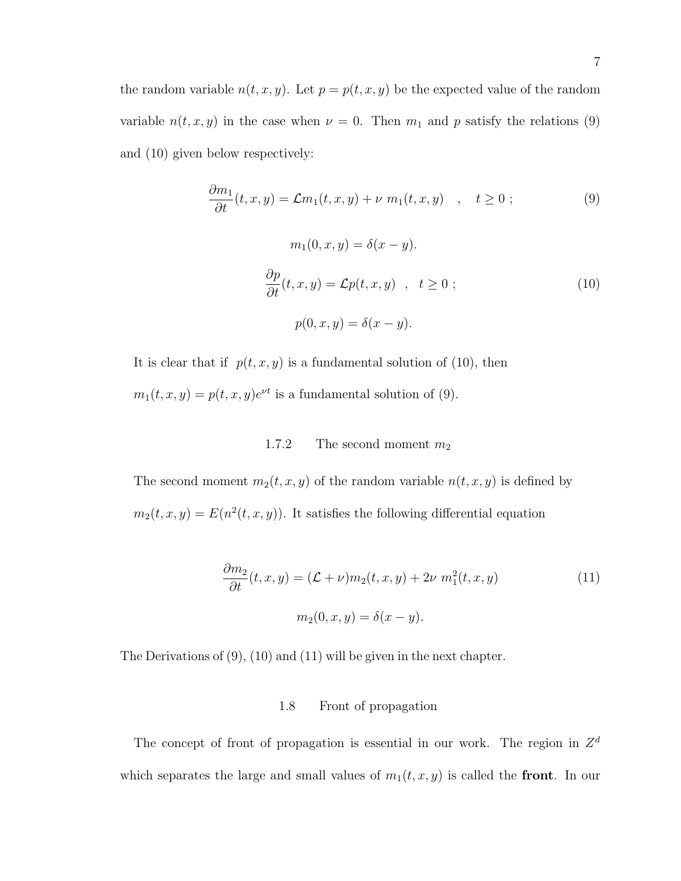the random variable  $n(t, x, y)$ . Let  $p = p(t, x, y)$  be the expected value of the random variable  $n(t, x, y)$  in the case when  $\nu = 0$ . Then  $m_1$  and p satisfy the relations (9) and (10) given below respectively:

$$
\frac{\partial m_1}{\partial t}(t, x, y) = \mathcal{L}m_1(t, x, y) + \nu \ m_1(t, x, y) , \quad t \ge 0 ;
$$
\n
$$
m_1(0, x, y) = \delta(x - y).
$$
\n
$$
\frac{\partial p}{\partial t}(t, x, y) = \mathcal{L}p(t, x, y) , \quad t \ge 0 ;
$$
\n
$$
p(0, x, y) = \delta(x - y).
$$
\n(10)

It is clear that if  $p(t, x, y)$  is a fundamental solution of (10), then  $m_1(t, x, y) = p(t, x, y)e^{\nu t}$  is a fundamental solution of (9).

#### 1.7.2 The second moment  $m_2$

The second moment  $m_2(t, x, y)$  of the random variable  $n(t, x, y)$  is defined by  $m_2(t, x, y) = E(n^2(t, x, y))$ . It satisfies the following differential equation

$$
\frac{\partial m_2}{\partial t}(t, x, y) = (\mathcal{L} + \nu)m_2(t, x, y) + 2\nu \, m_1^2(t, x, y) \tag{11}
$$
\n
$$
m_2(0, x, y) = \delta(x - y).
$$

The Derivations of (9), (10) and (11) will be given in the next chapter.

#### 1.8 Front of propagation

The concept of front of propagation is essential in our work. The region in  $Z^d$ which separates the large and small values of  $m_1(t, x, y)$  is called the **front**. In our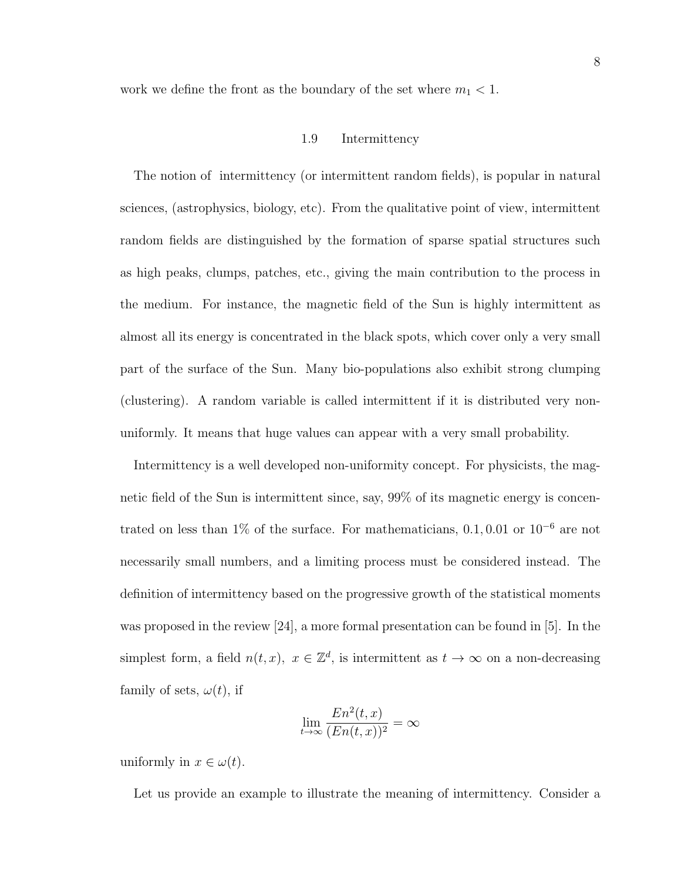work we define the front as the boundary of the set where  $m_1<1.$ 

#### 1.9 Intermittency

The notion of intermittency (or intermittent random fields), is popular in natural sciences, (astrophysics, biology, etc). From the qualitative point of view, intermittent random fields are distinguished by the formation of sparse spatial structures such as high peaks, clumps, patches, etc., giving the main contribution to the process in the medium. For instance, the magnetic field of the Sun is highly intermittent as almost all its energy is concentrated in the black spots, which cover only a very small part of the surface of the Sun. Many bio-populations also exhibit strong clumping (clustering). A random variable is called intermittent if it is distributed very nonuniformly. It means that huge values can appear with a very small probability.

Intermittency is a well developed non-uniformity concept. For physicists, the magnetic field of the Sun is intermittent since, say, 99% of its magnetic energy is concentrated on less than 1% of the surface. For mathematicians,  $0.1, 0.01$  or  $10^{-6}$  are not necessarily small numbers, and a limiting process must be considered instead. The definition of intermittency based on the progressive growth of the statistical moments was proposed in the review [24], a more formal presentation can be found in [5]. In the simplest form, a field  $n(t, x)$ ,  $x \in \mathbb{Z}^d$ , is intermittent as  $t \to \infty$  on a non-decreasing family of sets,  $\omega(t)$ , if

$$
\lim_{t \to \infty} \frac{En^2(t, x)}{(En(t, x))^2} = \infty
$$

uniformly in  $x \in \omega(t)$ .

Let us provide an example to illustrate the meaning of intermittency. Consider a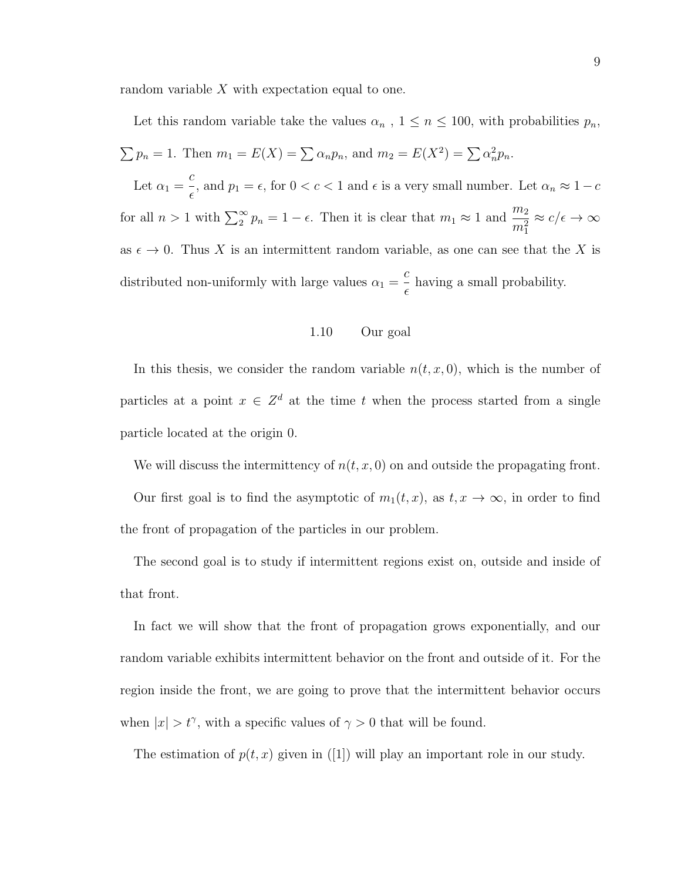random variable  $X$  with expectation equal to one.

Let this random variable take the values  $\alpha_n$ ,  $1 \leq n \leq 100$ , with probabilities  $p_n$ ,  $\sum p_n = 1$ . Then  $m_1 = E(X) = \sum \alpha_n p_n$ , and  $m_2 = E(X^2) = \sum \alpha_n^2 p_n$ . Let  $\alpha_1 =$ c  $\frac{\epsilon}{\epsilon}$ , and  $p_1 = \epsilon$ , for  $0 < c < 1$  and  $\epsilon$  is a very small number. Let  $\alpha_n \approx 1 - c$ for all  $n > 1$  with  $\sum_{2}^{\infty} p_n = 1 - \epsilon$ . Then it is clear that  $m_1 \approx 1$  and  $\frac{m_2}{m_1^2}$  $\approx c/\epsilon \rightarrow \infty$ as  $\epsilon \to 0$ . Thus X is an intermittent random variable, as one can see that the X is distributed non-uniformly with large values  $\alpha_1 =$ c  $\epsilon$ having a small probability.

#### 1.10 Our goal

In this thesis, we consider the random variable  $n(t, x, 0)$ , which is the number of particles at a point  $x \in \mathbb{Z}^d$  at the time t when the process started from a single particle located at the origin 0.

We will discuss the intermittency of  $n(t, x, 0)$  on and outside the propagating front.

Our first goal is to find the asymptotic of  $m_1(t, x)$ , as  $t, x \to \infty$ , in order to find the front of propagation of the particles in our problem.

The second goal is to study if intermittent regions exist on, outside and inside of that front.

In fact we will show that the front of propagation grows exponentially, and our random variable exhibits intermittent behavior on the front and outside of it. For the region inside the front, we are going to prove that the intermittent behavior occurs when  $|x| > t^{\gamma}$ , with a specific values of  $\gamma > 0$  that will be found.

The estimation of  $p(t, x)$  given in ([1]) will play an important role in our study.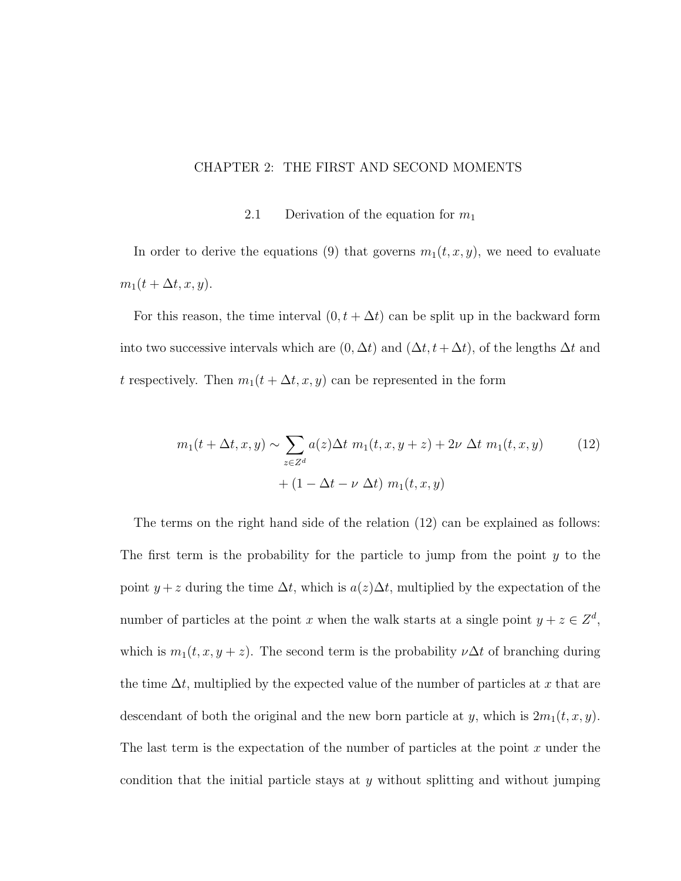#### CHAPTER 2: THE FIRST AND SECOND MOMENTS

#### 2.1 Derivation of the equation for  $m_1$

In order to derive the equations (9) that governs  $m_1(t, x, y)$ , we need to evaluate  $m_1(t + \Delta t, x, y).$ 

For this reason, the time interval  $(0, t + \Delta t)$  can be split up in the backward form into two successive intervals which are  $(0, \Delta t)$  and  $(\Delta t, t + \Delta t)$ , of the lengths  $\Delta t$  and t respectively. Then  $m_1(t + \Delta t, x, y)$  can be represented in the form

$$
m_1(t + \Delta t, x, y) \sim \sum_{z \in Z^d} a(z) \Delta t \ m_1(t, x, y + z) + 2\nu \Delta t \ m_1(t, x, y)
$$
(12)  
+ 
$$
(1 - \Delta t - \nu \Delta t) \ m_1(t, x, y)
$$

The terms on the right hand side of the relation (12) can be explained as follows: The first term is the probability for the particle to jump from the point  $y$  to the point  $y + z$  during the time  $\Delta t$ , which is  $a(z)\Delta t$ , multiplied by the expectation of the number of particles at the point x when the walk starts at a single point  $y + z \in \mathbb{Z}^d$ , which is  $m_1(t, x, y + z)$ . The second term is the probability  $\nu \Delta t$  of branching during the time  $\Delta t$ , multiplied by the expected value of the number of particles at x that are descendant of both the original and the new born particle at y, which is  $2m_1(t, x, y)$ . The last term is the expectation of the number of particles at the point  $x$  under the condition that the initial particle stays at  $y$  without splitting and without jumping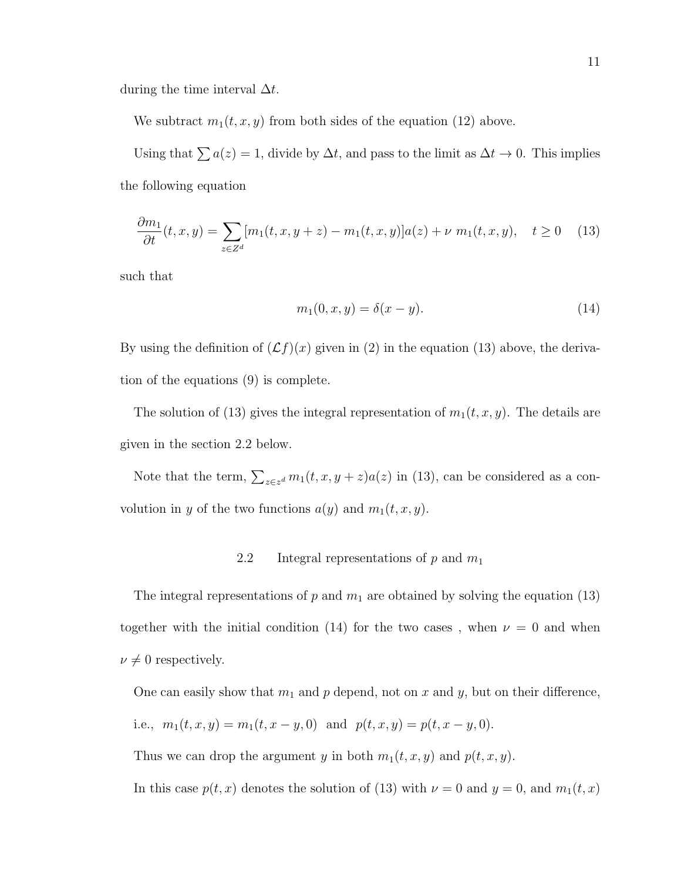during the time interval  $\Delta t$ .

We subtract  $m_1(t, x, y)$  from both sides of the equation (12) above.

Using that  $\sum a(z) = 1$ , divide by  $\Delta t$ , and pass to the limit as  $\Delta t \to 0$ . This implies the following equation

$$
\frac{\partial m_1}{\partial t}(t, x, y) = \sum_{z \in Z^d} [m_1(t, x, y + z) - m_1(t, x, y)]a(z) + \nu \ m_1(t, x, y), \quad t \ge 0 \tag{13}
$$

such that

$$
m_1(0, x, y) = \delta(x - y).
$$
 (14)

By using the definition of  $(\mathcal{L}f)(x)$  given in (2) in the equation (13) above, the derivation of the equations (9) is complete.

The solution of (13) gives the integral representation of  $m_1(t, x, y)$ . The details are given in the section 2.2 below.

Note that the term,  $\sum_{z \in z^d} m_1(t, x, y + z) a(z)$  in (13), can be considered as a convolution in y of the two functions  $a(y)$  and  $m_1(t, x, y)$ .

## 2.2 Integral representations of  $p$  and  $m_1$

The integral representations of p and  $m_1$  are obtained by solving the equation (13) together with the initial condition (14) for the two cases, when  $\nu = 0$  and when  $\nu \neq 0$  respectively.

One can easily show that  $m_1$  and  $p$  depend, not on  $x$  and  $y$ , but on their difference,

i.e., 
$$
m_1(t, x, y) = m_1(t, x - y, 0)
$$
 and  $p(t, x, y) = p(t, x - y, 0)$ .

Thus we can drop the argument y in both  $m_1(t, x, y)$  and  $p(t, x, y)$ .

In this case  $p(t, x)$  denotes the solution of (13) with  $\nu = 0$  and  $y = 0$ , and  $m_1(t, x)$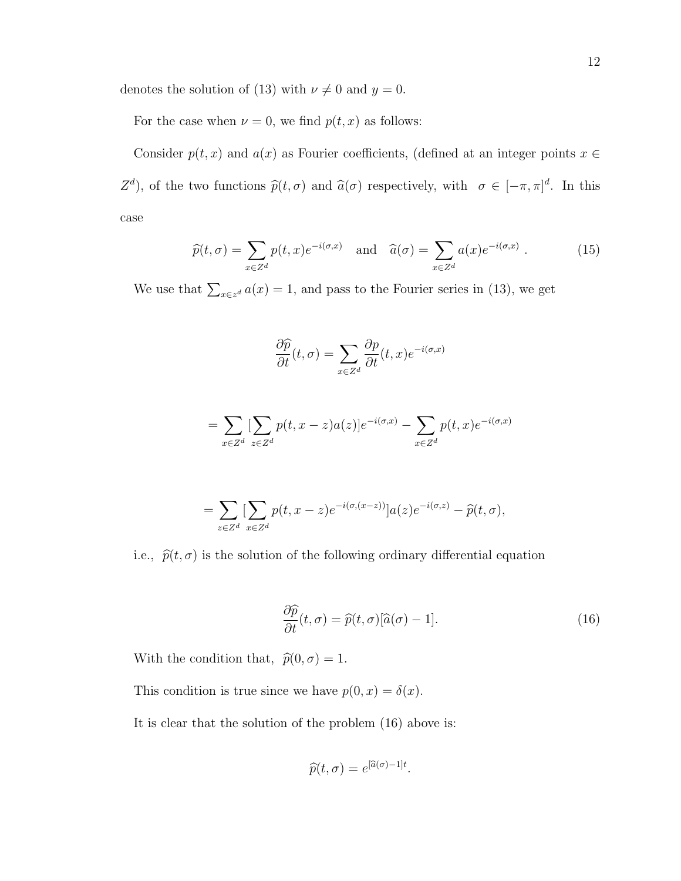denotes the solution of (13) with  $\nu\neq 0$  and  $y=0.$ 

For the case when  $\nu = 0$ , we find  $p(t, x)$  as follows:

Consider  $p(t, x)$  and  $a(x)$  as Fourier coefficients, (defined at an integer points  $x \in \mathbb{R}$  $Z^d$ ), of the two functions  $\hat{p}(t, \sigma)$  and  $\hat{a}(\sigma)$  respectively, with  $\sigma \in [-\pi, \pi]^d$ . In this case

$$
\widehat{p}(t,\sigma) = \sum_{x \in Z^d} p(t,x)e^{-i(\sigma,x)} \quad \text{and} \quad \widehat{a}(\sigma) = \sum_{x \in Z^d} a(x)e^{-i(\sigma,x)} \ . \tag{15}
$$

We use that  $\sum_{x \in z^d} a(x) = 1$ , and pass to the Fourier series in (13), we get

$$
\frac{\partial \widehat{p}}{\partial t}(t,\sigma) = \sum_{x \in Z^d} \frac{\partial p}{\partial t}(t,x) e^{-i(\sigma,x)}
$$

$$
= \sum_{x \in Z^d} \left[ \sum_{z \in Z^d} p(t, x - z) a(z) \right] e^{-i(\sigma, x)} - \sum_{x \in Z^d} p(t, x) e^{-i(\sigma, x)}
$$

$$
= \sum_{z \in Z^d} \left[ \sum_{x \in Z^d} p(t, x - z) e^{-i(\sigma, (x - z))} \right] a(z) e^{-i(\sigma, z)} - \widehat{p}(t, \sigma),
$$

i.e.,  $\hat{p}(t, \sigma)$  is the solution of the following ordinary differential equation

$$
\frac{\partial \widehat{p}}{\partial t}(t,\sigma) = \widehat{p}(t,\sigma)[\widehat{a}(\sigma) - 1].\tag{16}
$$

With the condition that,  $\hat{p}(0, \sigma) = 1$ .

This condition is true since we have  $p(0, x) = \delta(x)$ .

It is clear that the solution of the problem (16) above is:

$$
\widehat{p}(t,\sigma) = e^{[\widehat{a}(\sigma)-1]t}.
$$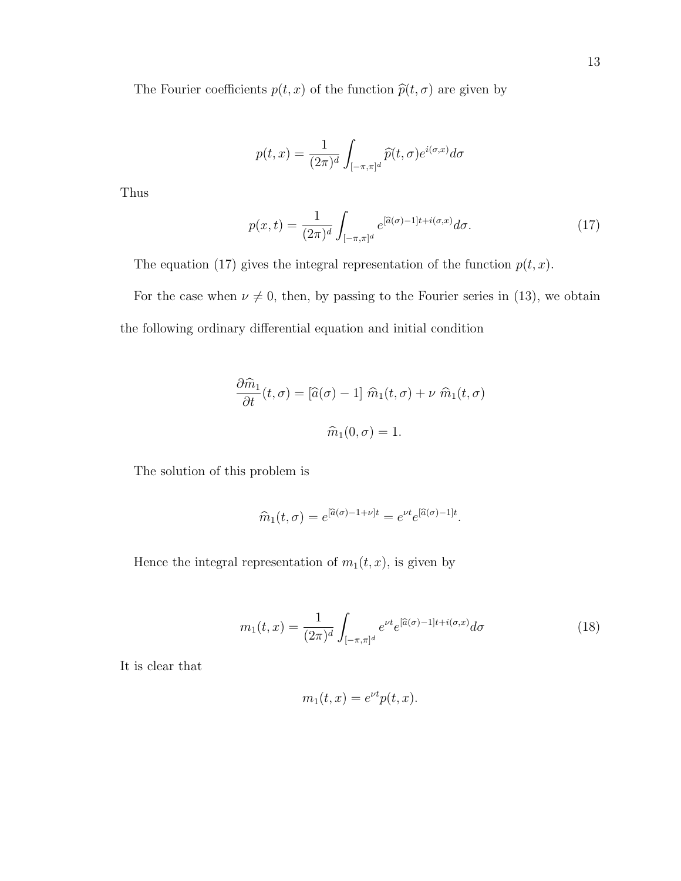The Fourier coefficients  $p(t, x)$  of the function  $\hat{p}(t, \sigma)$  are given by

$$
p(t,x) = \frac{1}{(2\pi)^d} \int_{[-\pi,\pi]^d} \widehat{p}(t,\sigma) e^{i(\sigma,x)} d\sigma
$$

Thus

$$
p(x,t) = \frac{1}{(2\pi)^d} \int_{[-\pi,\pi]^d} e^{[\hat{a}(\sigma)-1]t + i(\sigma,x)} d\sigma.
$$
 (17)

The equation (17) gives the integral representation of the function  $p(t, x)$ .

For the case when  $\nu \neq 0$ , then, by passing to the Fourier series in (13), we obtain the following ordinary differential equation and initial condition

$$
\frac{\partial \widehat{m}_1}{\partial t}(t,\sigma) = [\widehat{a}(\sigma) - 1] \widehat{m}_1(t,\sigma) + \nu \widehat{m}_1(t,\sigma)
$$

$$
\widehat{m}_1(0,\sigma) = 1.
$$

The solution of this problem is

$$
\widehat{m}_1(t,\sigma) = e^{[\widehat{a}(\sigma)-1+\nu]t} = e^{\nu t}e^{[\widehat{a}(\sigma)-1]t}.
$$

Hence the integral representation of  $m_1(t, x)$ , is given by

$$
m_1(t,x) = \frac{1}{(2\pi)^d} \int_{[-\pi,\pi]^d} e^{\nu t} e^{[\hat{a}(\sigma)-1]t + i(\sigma,x)} d\sigma \tag{18}
$$

It is clear that

$$
m_1(t,x) = e^{\nu t} p(t,x).
$$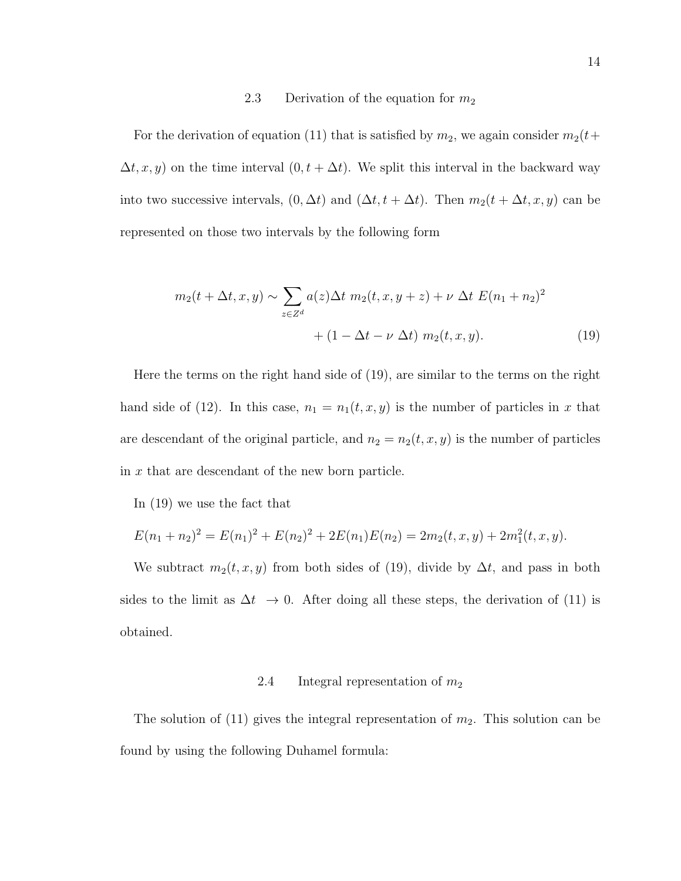#### 2.3 Derivation of the equation for  $m_2$

For the derivation of equation (11) that is satisfied by  $m_2$ , we again consider  $m_2(t+$  $\Delta t, x, y$  on the time interval  $(0, t + \Delta t)$ . We split this interval in the backward way into two successive intervals,  $(0, \Delta t)$  and  $(\Delta t, t + \Delta t)$ . Then  $m_2(t + \Delta t, x, y)$  can be represented on those two intervals by the following form

$$
m_2(t + \Delta t, x, y) \sim \sum_{z \in Z^d} a(z) \Delta t \ m_2(t, x, y + z) + \nu \ \Delta t \ E(n_1 + n_2)^2
$$

$$
+ (1 - \Delta t - \nu \ \Delta t) \ m_2(t, x, y). \tag{19}
$$

Here the terms on the right hand side of (19), are similar to the terms on the right hand side of (12). In this case,  $n_1 = n_1(t, x, y)$  is the number of particles in x that are descendant of the original particle, and  $n_2 = n_2(t, x, y)$  is the number of particles in x that are descendant of the new born particle.

In (19) we use the fact that

$$
E(n_1 + n_2)^2 = E(n_1)^2 + E(n_2)^2 + 2E(n_1)E(n_2) = 2m_2(t, x, y) + 2m_1^2(t, x, y).
$$

We subtract  $m_2(t, x, y)$  from both sides of (19), divide by  $\Delta t$ , and pass in both sides to the limit as  $\Delta t \rightarrow 0$ . After doing all these steps, the derivation of (11) is obtained.

#### 2.4 Integral representation of  $m_2$

The solution of  $(11)$  gives the integral representation of  $m_2$ . This solution can be found by using the following Duhamel formula: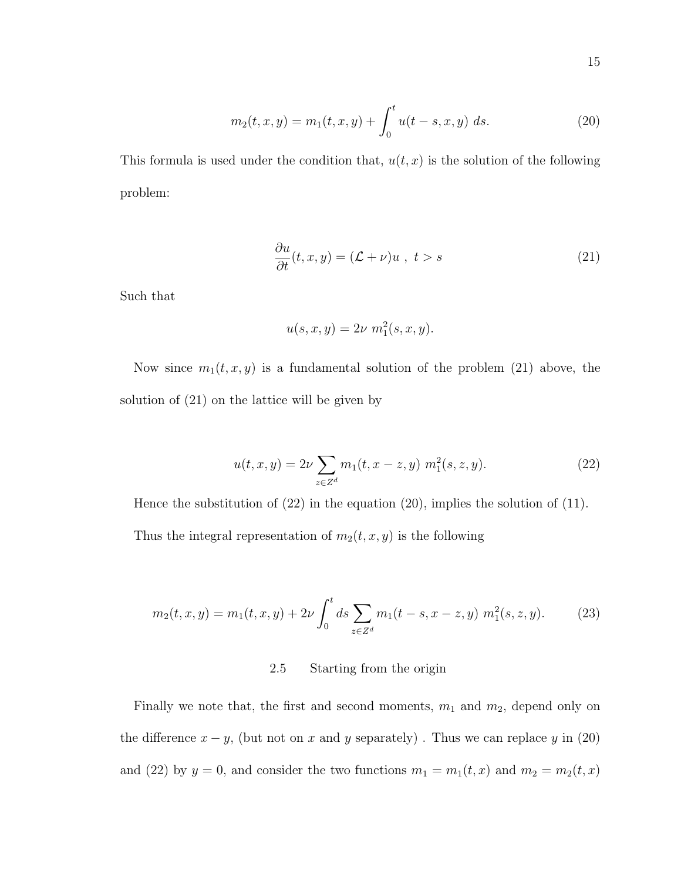$$
m_2(t, x, y) = m_1(t, x, y) + \int_0^t u(t - s, x, y) ds.
$$
 (20)

This formula is used under the condition that,  $u(t, x)$  is the solution of the following problem:

$$
\frac{\partial u}{\partial t}(t, x, y) = (\mathcal{L} + \nu)u \ , \ t > s \tag{21}
$$

Such that

$$
u(s, x, y) = 2\nu \, m_1^2(s, x, y).
$$

Now since  $m_1(t, x, y)$  is a fundamental solution of the problem (21) above, the solution of (21) on the lattice will be given by

$$
u(t, x, y) = 2\nu \sum_{z \in Z^d} m_1(t, x - z, y) \; m_1^2(s, z, y). \tag{22}
$$

Hence the substitution of (22) in the equation (20), implies the solution of (11). Thus the integral representation of  $m_2(t, x, y)$  is the following

$$
m_2(t, x, y) = m_1(t, x, y) + 2\nu \int_0^t ds \sum_{z \in Z^d} m_1(t - s, x - z, y) m_1^2(s, z, y).
$$
 (23)

## 2.5 Starting from the origin

Finally we note that, the first and second moments,  $m_1$  and  $m_2$ , depend only on the difference  $x - y$ , (but not on x and y separately). Thus we can replace y in (20) and (22) by  $y = 0$ , and consider the two functions  $m_1 = m_1(t, x)$  and  $m_2 = m_2(t, x)$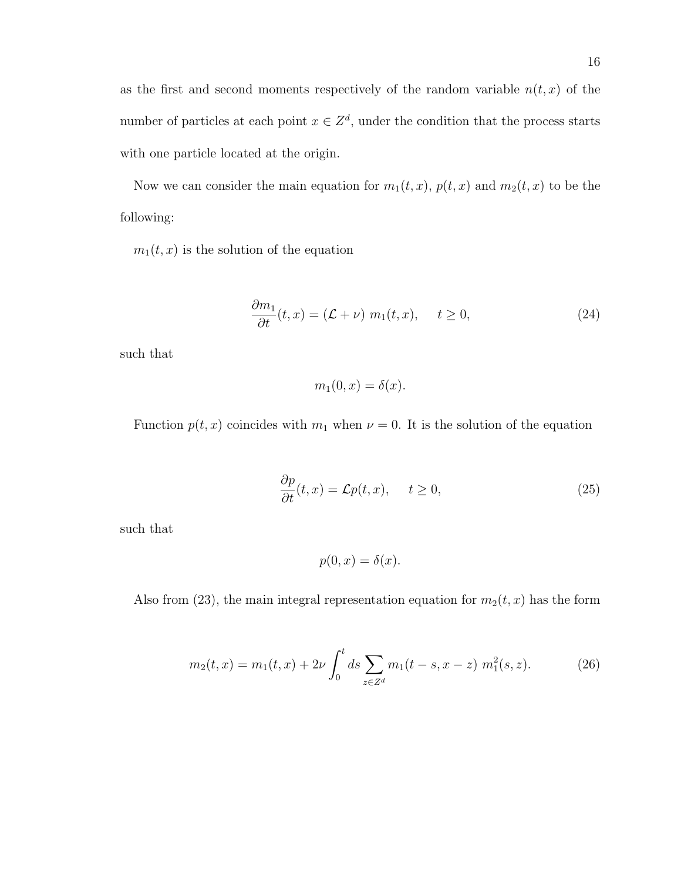as the first and second moments respectively of the random variable  $n(t, x)$  of the number of particles at each point  $x \in \mathbb{Z}^d$ , under the condition that the process starts with one particle located at the origin.

Now we can consider the main equation for  $m_1(t, x)$ ,  $p(t, x)$  and  $m_2(t, x)$  to be the following:

 $m_1(t, x)$  is the solution of the equation

$$
\frac{\partial m_1}{\partial t}(t, x) = (\mathcal{L} + \nu) m_1(t, x), \quad t \ge 0,
$$
\n(24)

such that

$$
m_1(0, x) = \delta(x).
$$

Function  $p(t, x)$  coincides with  $m_1$  when  $\nu = 0$ . It is the solution of the equation

$$
\frac{\partial p}{\partial t}(t, x) = \mathcal{L}p(t, x), \quad t \ge 0,
$$
\n(25)

such that

$$
p(0, x) = \delta(x).
$$

Also from (23), the main integral representation equation for  $m_2(t, x)$  has the form

$$
m_2(t,x) = m_1(t,x) + 2\nu \int_0^t ds \sum_{z \in Z^d} m_1(t-s, x-z) \; m_1^2(s,z). \tag{26}
$$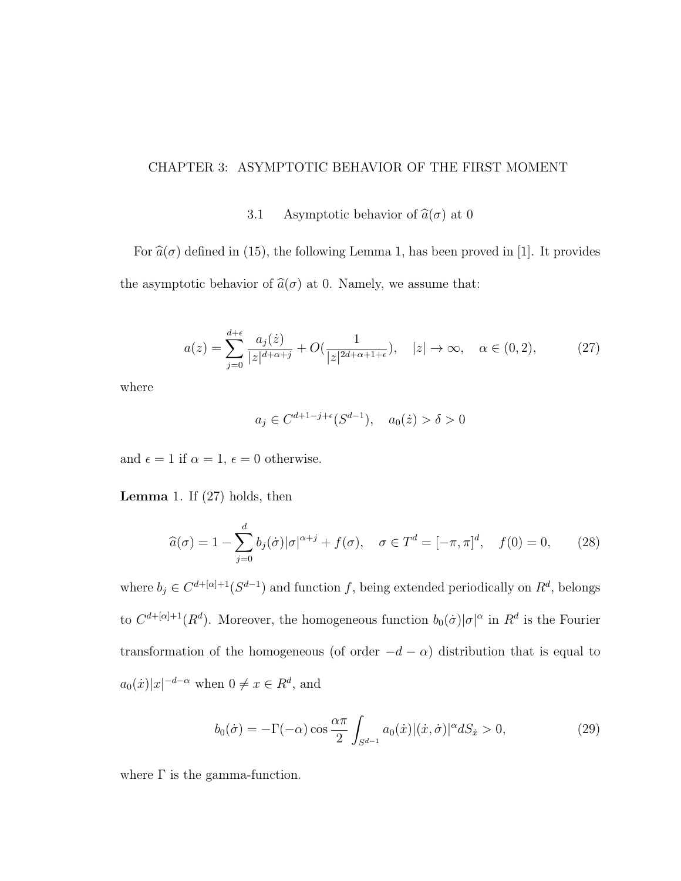#### CHAPTER 3: ASYMPTOTIC BEHAVIOR OF THE FIRST MOMENT

#### 3.1 Asymptotic behavior of  $\hat{a}(\sigma)$  at 0

For  $\hat{a}(\sigma)$  defined in (15), the following Lemma 1, has been proved in [1]. It provides the asymptotic behavior of  $\hat{a}(\sigma)$  at 0. Namely, we assume that:

$$
a(z) = \sum_{j=0}^{d+\epsilon} \frac{a_j(\dot{z})}{|z|^{d+\alpha+j}} + O(\frac{1}{|z|^{2d+\alpha+1+\epsilon}}), \quad |z| \to \infty, \quad \alpha \in (0,2), \tag{27}
$$

where

$$
a_j \in C^{d+1-j+\epsilon}(S^{d-1}), \quad a_0(\dot{z}) > \delta > 0
$$

and  $\epsilon = 1$  if  $\alpha = 1$ ,  $\epsilon = 0$  otherwise.

**Lemma** 1. If  $(27)$  holds, then

$$
\widehat{a}(\sigma) = 1 - \sum_{j=0}^{d} b_j(\dot{\sigma}) |\sigma|^{\alpha+j} + f(\sigma), \quad \sigma \in T^d = [-\pi, \pi]^d, \quad f(0) = 0,
$$
 (28)

where  $b_j \in C^{d+[\alpha]+1}(S^{d-1})$  and function f, being extended periodically on  $R^d$ , belongs to  $C^{d+[\alpha]+1}(R^d)$ . Moreover, the homogeneous function  $b_0(\dot{\sigma})|\sigma|^{\alpha}$  in  $R^d$  is the Fourier transformation of the homogeneous (of order  $-d - \alpha$ ) distribution that is equal to  $a_0(\dot{x})|x|^{-d-\alpha}$  when  $0 \neq x \in \mathbb{R}^d$ , and

$$
b_0(\dot{\sigma}) = -\Gamma(-\alpha)\cos\frac{\alpha\pi}{2} \int_{S^{d-1}} a_0(\dot{x}) |(\dot{x}, \dot{\sigma})|^\alpha dS_{\dot{x}} > 0,
$$
\n(29)

where  $\Gamma$  is the gamma-function.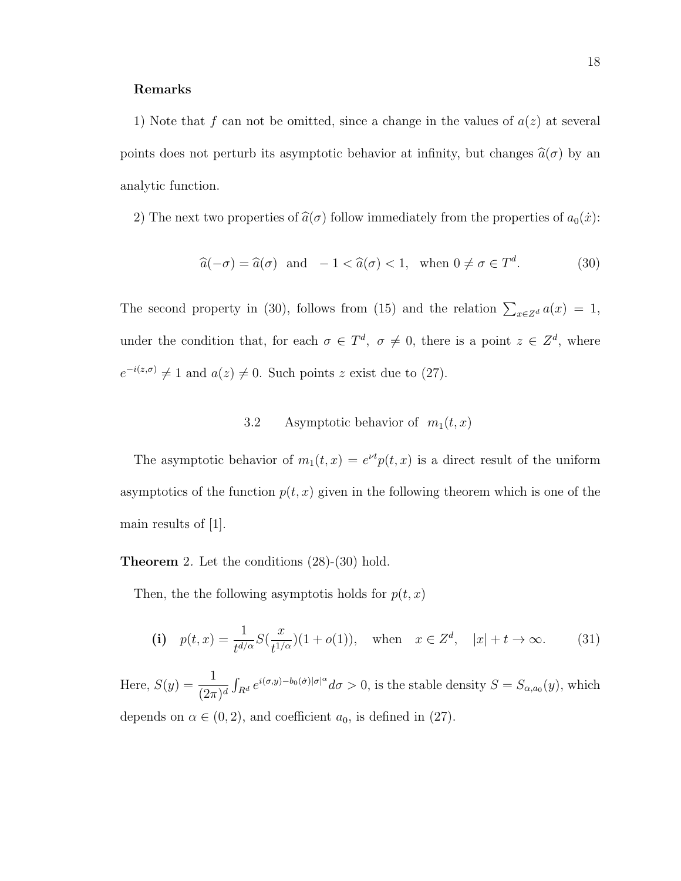#### Remarks

1) Note that f can not be omitted, since a change in the values of  $a(z)$  at several points does not perturb its asymptotic behavior at infinity, but changes  $\hat{a}(\sigma)$  by an analytic function.

2) The next two properties of  $\hat{a}(\sigma)$  follow immediately from the properties of  $a_0(\dot{x})$ :

$$
\widehat{a}(-\sigma) = \widehat{a}(\sigma) \quad \text{and} \quad -1 < \widehat{a}(\sigma) < 1, \quad \text{when } 0 \neq \sigma \in T^d. \tag{30}
$$

The second property in (30), follows from (15) and the relation  $\sum_{x \in \mathbb{Z}^d} a(x) = 1$ , under the condition that, for each  $\sigma \in T^d$ ,  $\sigma \neq 0$ , there is a point  $z \in Z^d$ , where  $e^{-i(z,\sigma)} \neq 1$  and  $a(z) \neq 0$ . Such points z exist due to (27).

## 3.2 Asymptotic behavior of  $m_1(t, x)$

The asymptotic behavior of  $m_1(t, x) = e^{\nu t} p(t, x)$  is a direct result of the uniform asymptotics of the function  $p(t, x)$  given in the following theorem which is one of the main results of [1].

Theorem 2. Let the conditions (28)-(30) hold.

Then, the the following asymptotis holds for  $p(t, x)$ 

(i) 
$$
p(t, x) = \frac{1}{t^{d/\alpha}} S(\frac{x}{t^{1/\alpha}})(1 + o(1)), \text{ when } x \in \mathbb{Z}^d, |x| + t \to \infty.
$$
 (31)

Here,  $S(y) = \frac{1}{4}$  $\frac{1}{(2\pi)^d} \int_{R^d} e^{i(\sigma, y) - b_0(\sigma) |\sigma|^{\alpha}} d\sigma > 0$ , is the stable density  $S = S_{\alpha, a_0}(y)$ , which depends on  $\alpha \in (0, 2)$ , and coefficient  $a_0$ , is defined in (27).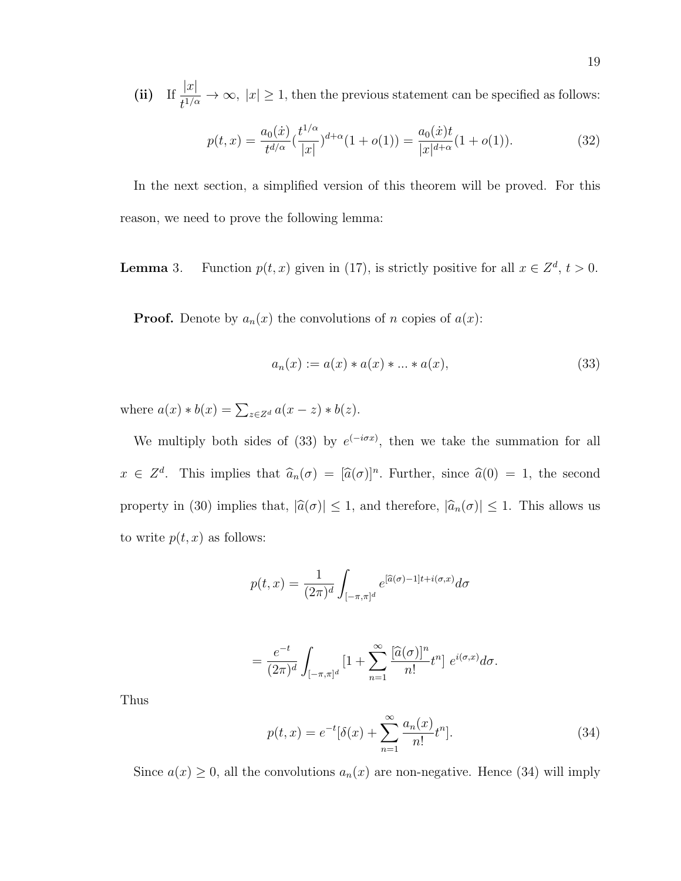(ii) If  $\frac{|x|}{|x|}$  $\frac{1}{t^{1/\alpha}} \to \infty$ ,  $|x| \geq 1$ , then the previous statement can be specified as follows:

$$
p(t,x) = \frac{a_0(x)}{t^{d/\alpha}} \left(\frac{t^{1/\alpha}}{|x|}\right)^{d+\alpha} (1+o(1)) = \frac{a_0(x)t}{|x|^{d+\alpha}} (1+o(1)).
$$
 (32)

In the next section, a simplified version of this theorem will be proved. For this reason, we need to prove the following lemma:

**Lemma** 3. Function  $p(t, x)$  given in (17), is strictly positive for all  $x \in \mathbb{Z}^d$ ,  $t > 0$ .

**Proof.** Denote by  $a_n(x)$  the convolutions of n copies of  $a(x)$ :

$$
a_n(x) := a(x) * a(x) * ... * a(x),
$$
\n(33)

where  $a(x) * b(x) = \sum_{z \in Z^d} a(x - z) * b(z)$ .

We multiply both sides of (33) by  $e^{(-i\sigma x)}$ , then we take the summation for all  $x \in \mathbb{Z}^d$ . This implies that  $\widehat{a}_n(\sigma) = [\widehat{a}(\sigma)]^n$ . Further, since  $\widehat{a}(0) = 1$ , the second property in (30) implies that,  $|\hat{a}(\sigma)| \leq 1$ , and therefore,  $|\hat{a}_n(\sigma)| \leq 1$ . This allows us to write  $p(t, x)$  as follows:

$$
p(t,x) = \frac{1}{(2\pi)^d} \int_{[-\pi,\pi]^d} e^{[\widehat{a}(\sigma)-1]t + i(\sigma,x)} d\sigma
$$

$$
= \frac{e^{-t}}{(2\pi)^d} \int_{[-\pi,\pi]^d} \left[1 + \sum_{n=1}^{\infty} \frac{[\widehat{a}(\sigma)]^n}{n!} t^n \right] e^{i(\sigma,x)} d\sigma.
$$

Thus

$$
p(t,x) = e^{-t}[\delta(x) + \sum_{n=1}^{\infty} \frac{a_n(x)}{n!} t^n].
$$
\n(34)

Since  $a(x) \geq 0$ , all the convolutions  $a_n(x)$  are non-negative. Hence (34) will imply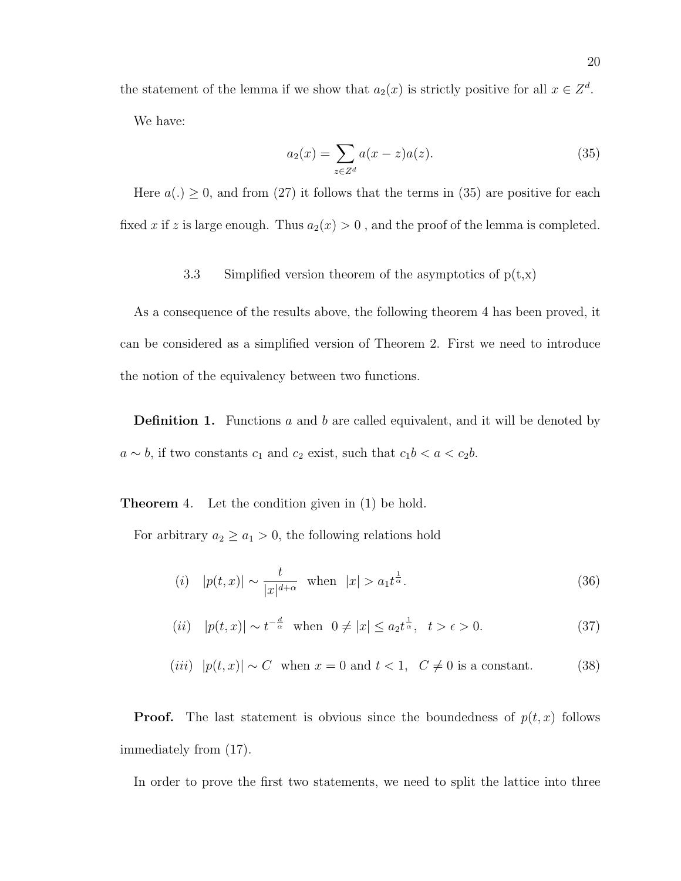the statement of the lemma if we show that  $a_2(x)$  is strictly positive for all  $x \in \mathbb{Z}^d$ . We have:

$$
a_2(x) = \sum_{z \in Z^d} a(x - z)a(z).
$$
 (35)

Here  $a(.) \geq 0$ , and from (27) it follows that the terms in (35) are positive for each fixed x if z is large enough. Thus  $a_2(x) > 0$ , and the proof of the lemma is completed.

3.3 Simplified version theorem of the asymptotics of  $p(t,x)$ 

As a consequence of the results above, the following theorem 4 has been proved, it can be considered as a simplified version of Theorem 2. First we need to introduce the notion of the equivalency between two functions.

**Definition 1.** Functions a and b are called equivalent, and it will be denoted by  $a \sim b$ , if two constants  $c_1$  and  $c_2$  exist, such that  $c_1b < a < c_2b$ .

**Theorem** 4. Let the condition given in (1) be hold.

For arbitrary  $a_2 \ge a_1 > 0$ , the following relations hold

(i) 
$$
|p(t,x)| \sim \frac{t}{|x|^{d+\alpha}}
$$
 when  $|x| > a_1 t^{\frac{1}{\alpha}}$ . (36)

(*ii*) 
$$
|p(t,x)| \sim t^{-\frac{d}{\alpha}}
$$
 when  $0 \neq |x| \leq a_2 t^{\frac{1}{\alpha}}$ ,  $t > \epsilon > 0$ . (37)

(*iii*)  $|p(t,x)| \sim C$  when  $x = 0$  and  $t < 1$ ,  $C ≠ 0$  is a constant. (38)

**Proof.** The last statement is obvious since the boundedness of  $p(t, x)$  follows immediately from (17).

In order to prove the first two statements, we need to split the lattice into three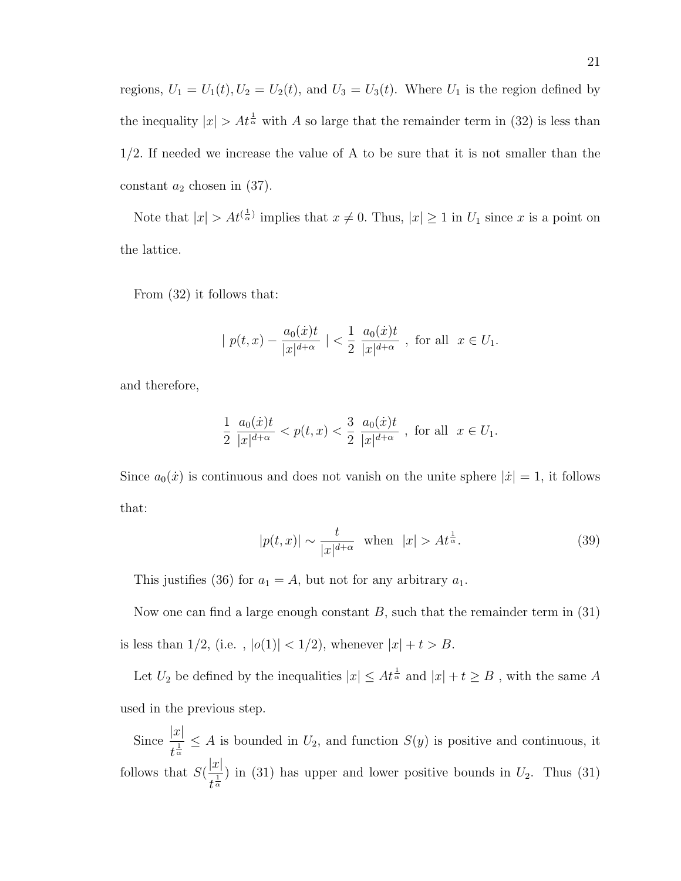regions,  $U_1 = U_1(t)$ ,  $U_2 = U_2(t)$ , and  $U_3 = U_3(t)$ . Where  $U_1$  is the region defined by the inequality  $|x| > At^{\frac{1}{\alpha}}$  with A so large that the remainder term in (32) is less than  $1/2$ . If needed we increase the value of A to be sure that it is not smaller than the constant  $a_2$  chosen in (37).

Note that  $|x| > At^{(\frac{1}{\alpha})}$  implies that  $x \neq 0$ . Thus,  $|x| \geq 1$  in  $U_1$  since x is a point on the lattice.

From (32) it follows that:

$$
|p(t,x) - \frac{a_0(\dot{x})t}{|x|^{d+\alpha}}| < \frac{1}{2} \frac{a_0(\dot{x})t}{|x|^{d+\alpha}}
$$
, for all  $x \in U_1$ .

and therefore,

$$
\frac{1}{2} \frac{a_0(\dot{x})t}{|x|^{d+\alpha}} < p(t, x) < \frac{3}{2} \frac{a_0(\dot{x})t}{|x|^{d+\alpha}} , \text{ for all } x \in U_1.
$$

Since  $a_0(\dot{x})$  is continuous and does not vanish on the unite sphere  $|\dot{x}| = 1$ , it follows that:

$$
|p(t,x)| \sim \frac{t}{|x|^{d+\alpha}} \quad \text{when} \quad |x| > At^{\frac{1}{\alpha}}.
$$
 (39)

This justifies (36) for  $a_1 = A$ , but not for any arbitrary  $a_1$ .

Now one can find a large enough constant  $B$ , such that the remainder term in (31) is less than 1/2, (i.e.,  $|o(1)| < 1/2$ ), whenever  $|x| + t > B$ .

Let  $U_2$  be defined by the inequalities  $|x| \leq At^{\frac{1}{\alpha}}$  and  $|x|+t \geq B$ , with the same A used in the previous step.

Since  $\frac{|x|}{1}$  $\frac{d^{|\mathcal{U}|}}{d^{\frac{1}{\alpha}}} \leq A$  is bounded in  $U_2$ , and function  $S(y)$  is positive and continuous, it follows that  $S($  $|x|$  $\frac{a}{t^{\frac{1}{\alpha}}}$ ) in (31) has upper and lower positive bounds in  $U_2$ . Thus (31)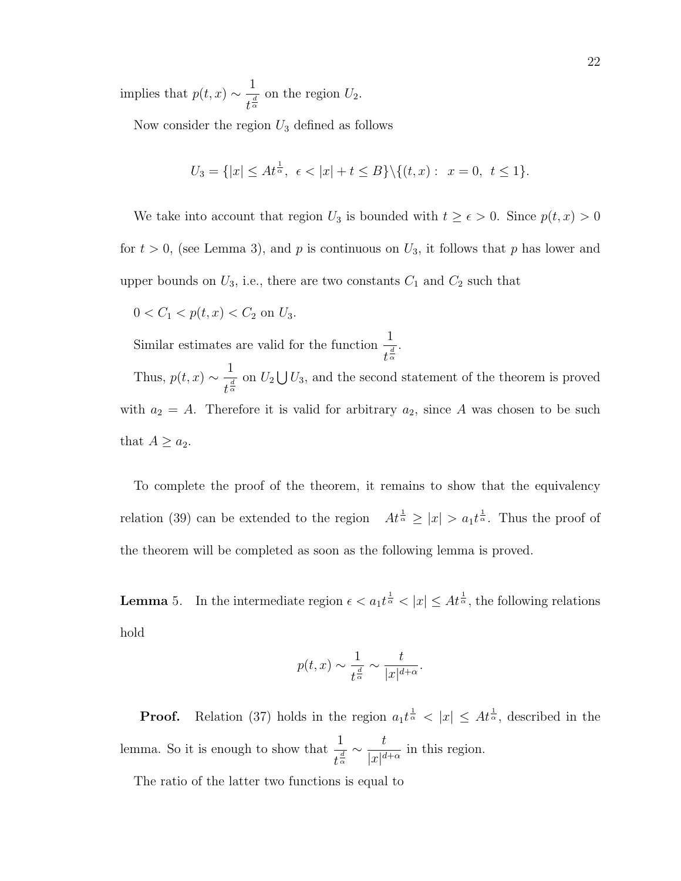implies that  $p(t, x) \sim \frac{1}{4}$  $\frac{1}{t^{\frac{d}{\alpha}}}$  on the region  $U_2$ .

Now consider the region  $U_3$  defined as follows

$$
U_3 = \{|x| \le At^{\frac{1}{\alpha}}, \ \epsilon < |x| + t \le B\} \setminus \{(t, x): \ x = 0, \ t \le 1\}.
$$

We take into account that region  $U_3$  is bounded with  $t \ge \epsilon > 0$ . Since  $p(t, x) > 0$ for  $t > 0$ , (see Lemma 3), and p is continuous on  $U_3$ , it follows that p has lower and upper bounds on  $U_3$ , i.e., there are two constants  $C_1$  and  $C_2$  such that

 $0 < C_1 < p(t, x) < C_2$  on  $U_3$ .

Similar estimates are valid for the function  $\frac{1}{4}$  $\frac{1}{t^{\frac{d}{\alpha}}}$ .

Thus,  $p(t, x) \sim \frac{1}{4}$  $\frac{1}{t^{\frac{d}{\alpha}}}$  on  $U_2 \bigcup U_3$ , and the second statement of the theorem is proved with  $a_2 = A$ . Therefore it is valid for arbitrary  $a_2$ , since A was chosen to be such that  $A \geq a_2$ .

To complete the proof of the theorem, it remains to show that the equivalency relation (39) can be extended to the region  $At^{\frac{1}{\alpha}} \geq |x| > a_1 t^{\frac{1}{\alpha}}$ . Thus the proof of the theorem will be completed as soon as the following lemma is proved.

**Lemma** 5. In the intermediate region  $\epsilon < a_1 t^{\frac{1}{\alpha}} < |x| \leq At^{\frac{1}{\alpha}}$ , the following relations hold

$$
p(t,x) \sim \frac{1}{t^{\frac{d}{\alpha}}} \sim \frac{t}{|x|^{d+\alpha}}.
$$

**Proof.** Relation (37) holds in the region  $a_1 t^{\frac{1}{\alpha}} < |x| \leq At^{\frac{1}{\alpha}}$ , described in the lemma. So it is enough to show that  $\frac{1}{4}$  $t^{\frac{d}{\alpha}}$  $\sim \frac{t}{1+t}$  $\frac{c}{|x|^{d+\alpha}}$  in this region.

The ratio of the latter two functions is equal to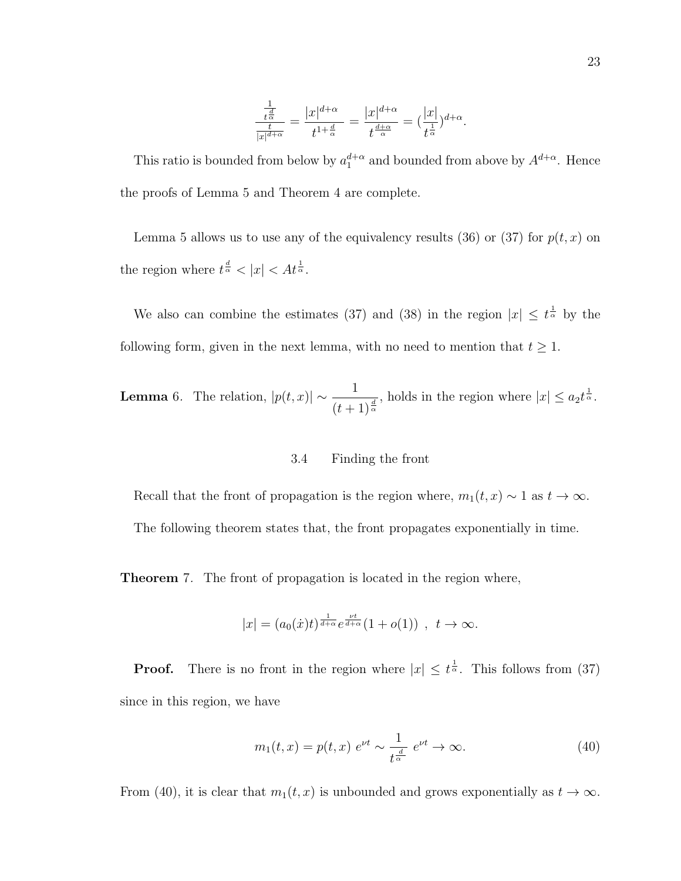$$
\frac{\frac{1}{t^{\frac{d}{\alpha}}}}{\frac{t}{|x|^{d+\alpha}}} = \frac{|x|^{d+\alpha}}{t^{1+\frac{d}{\alpha}}} = \frac{|x|^{d+\alpha}}{t^{\frac{d+\alpha}{\alpha}}} = \left(\frac{|x|}{t^{\frac{1}{\alpha}}}\right)^{d+\alpha}.
$$

This ratio is bounded from below by  $a_1^{d+\alpha}$  and bounded from above by  $A^{d+\alpha}$ . Hence the proofs of Lemma 5 and Theorem 4 are complete.

Lemma 5 allows us to use any of the equivalency results (36) or (37) for  $p(t, x)$  on the region where  $t^{\frac{d}{\alpha}} < |x| < At^{\frac{1}{\alpha}}$ .

We also can combine the estimates (37) and (38) in the region  $|x| \leq t^{\frac{1}{\alpha}}$  by the following form, given in the next lemma, with no need to mention that  $t \geq 1$ .

**Lemma** 6. The relation, 
$$
|p(t,x)| \sim \frac{1}{(t+1)^{\frac{d}{\alpha}}}
$$
, holds in the region where  $|x| \leq a_2 t^{\frac{1}{\alpha}}$ .

#### 3.4 Finding the front

Recall that the front of propagation is the region where,  $m_1(t, x) \sim 1$  as  $t \to \infty$ .

The following theorem states that, the front propagates exponentially in time.

**Theorem** 7. The front of propagation is located in the region where,

$$
|x| = (a_0(\dot{x})t)^{\frac{1}{d+\alpha}} e^{\frac{\nu t}{d+\alpha}} (1+o(1)), \quad t \to \infty.
$$

**Proof.** There is no front in the region where  $|x| \leq t^{\frac{1}{\alpha}}$ . This follows from (37) since in this region, we have

$$
m_1(t,x) = p(t,x) e^{\nu t} \sim \frac{1}{t^{\frac{d}{\alpha}}} e^{\nu t} \to \infty.
$$
 (40)

From (40), it is clear that  $m_1(t, x)$  is unbounded and grows exponentially as  $t \to \infty$ .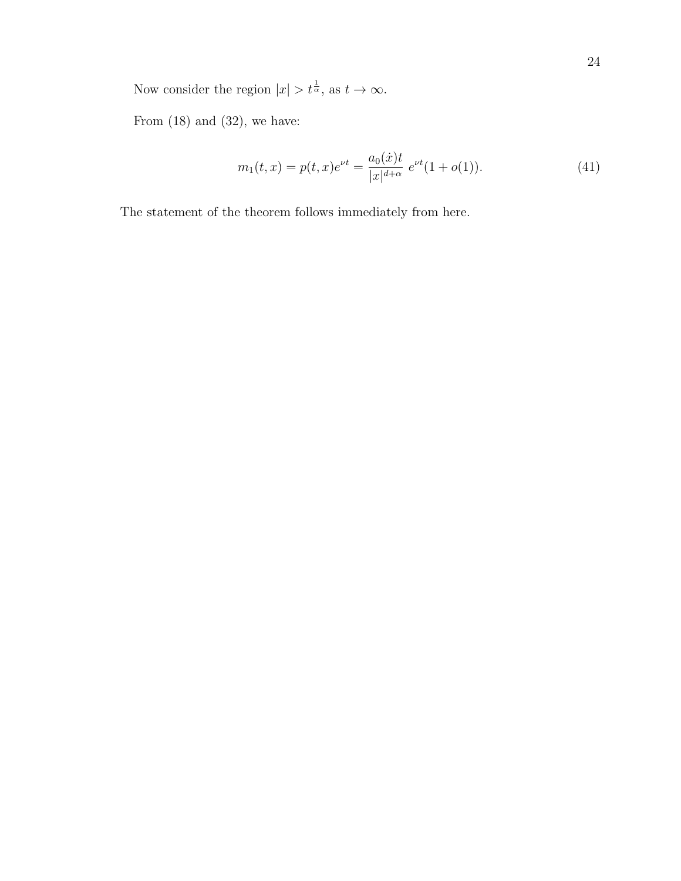Now consider the region  $|x| > t^{\frac{1}{\alpha}}$ , as  $t \to \infty$ .

From  $(18)$  and  $(32)$ , we have:

$$
m_1(t,x) = p(t,x)e^{\nu t} = \frac{a_0(\dot{x})t}{|x|^{d+\alpha}} e^{\nu t} (1 + o(1)).
$$
\n(41)

The statement of the theorem follows immediately from here.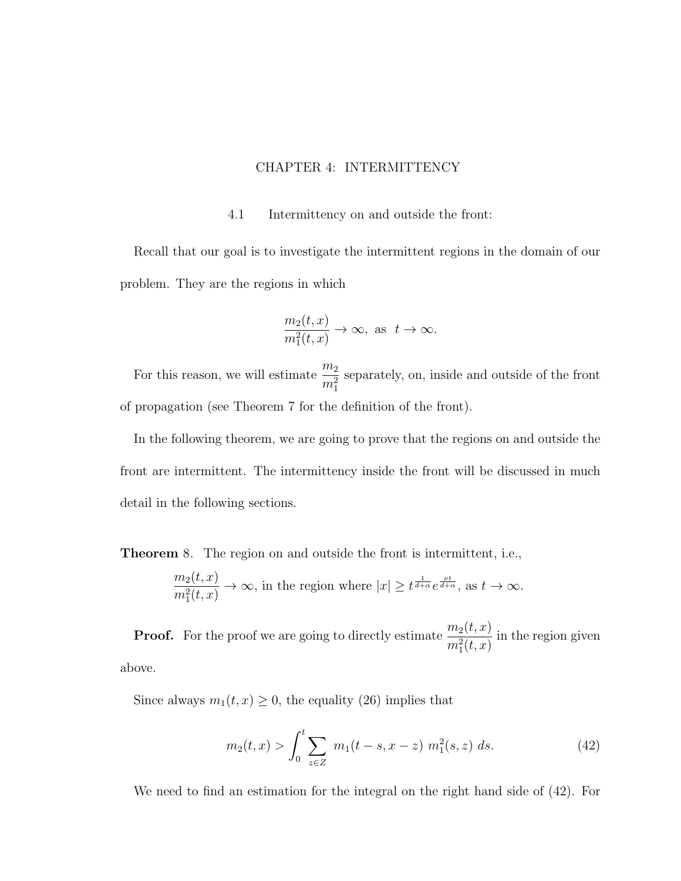### CHAPTER 4: INTERMITTENCY

#### 4.1 Intermittency on and outside the front:

Recall that our goal is to investigate the intermittent regions in the domain of our problem. They are the regions in which

$$
\frac{m_2(t,x)}{m_1^2(t,x)} \to \infty, \text{ as } t \to \infty.
$$

For this reason, we will estimate  $\frac{m_2}{2}$  $m_1^2$ separately, on, inside and outside of the front of propagation (see Theorem 7 for the definition of the front).

In the following theorem, we are going to prove that the regions on and outside the front are intermittent. The intermittency inside the front will be discussed in much detail in the following sections.

Theorem 8. The region on and outside the front is intermittent, i.e.,

$$
\frac{m_2(t,x)}{m_1^2(t,x)} \to \infty
$$
, in the region where  $|x| \geq t^{\frac{1}{d+\alpha}} e^{\frac{\nu t}{d+\alpha}}$ , as  $t \to \infty$ .

**Proof.** For the proof we are going to directly estimate  $\frac{m_2(t, x)}{2(t-1)}$  $m_1^2(t, x)$ in the region given above.

Since always  $m_1(t, x) \ge 0$ , the equality (26) implies that

$$
m_2(t,x) > \int_0^t \sum_{z \in Z} m_1(t-s, x-z) m_1^2(s,z) ds.
$$
 (42)

We need to find an estimation for the integral on the right hand side of (42). For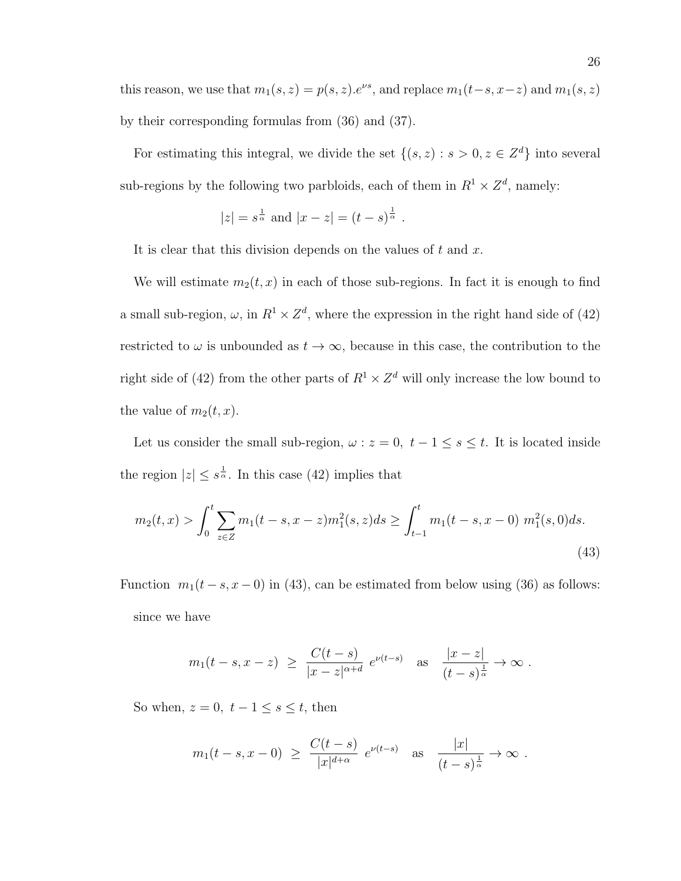this reason, we use that  $m_1(s, z) = p(s, z) e^{\nu s}$ , and replace  $m_1(t-s, x-z)$  and  $m_1(s, z)$ by their corresponding formulas from (36) and (37).

For estimating this integral, we divide the set  $\{(s, z) : s > 0, z \in \mathbb{Z}^d\}$  into several sub-regions by the following two parbloids, each of them in  $R^1 \times Z^d$ , namely:

$$
|z| = s^{\frac{1}{\alpha}}
$$
 and  $|x - z| = (t - s)^{\frac{1}{\alpha}}$ .

It is clear that this division depends on the values of  $t$  and  $x$ .

We will estimate  $m_2(t, x)$  in each of those sub-regions. In fact it is enough to find a small sub-region,  $\omega$ , in  $R^1 \times Z^d$ , where the expression in the right hand side of (42) restricted to  $\omega$  is unbounded as  $t \to \infty$ , because in this case, the contribution to the right side of (42) from the other parts of  $R^1 \times Z^d$  will only increase the low bound to the value of  $m_2(t, x)$ .

Let us consider the small sub-region,  $\omega : z = 0, t - 1 \le s \le t$ . It is located inside the region  $|z| \leq s^{\frac{1}{\alpha}}$ . In this case (42) implies that

$$
m_2(t,x) > \int_0^t \sum_{z \in Z} m_1(t-s, x-z) m_1^2(s,z) ds \ge \int_{t-1}^t m_1(t-s, x-0) m_1^2(s,0) ds.
$$
\n(43)

Function  $m_1(t - s, x - 0)$  in (43), can be estimated from below using (36) as follows: since we have

$$
m_1(t-s,x-z) \ge \frac{C(t-s)}{|x-z|^{\alpha+d}} e^{\nu(t-s)}
$$
 as  $\frac{|x-z|}{(t-s)^{\frac{1}{\alpha}}} \to \infty$ .

So when,  $z = 0$ ,  $t - 1 \leq s \leq t$ , then

$$
m_1(t-s, x-0) \ge \frac{C(t-s)}{|x|^{d+\alpha}} e^{\nu(t-s)}
$$
 as  $\frac{|x|}{(t-s)^{\frac{1}{\alpha}}} \to \infty$ .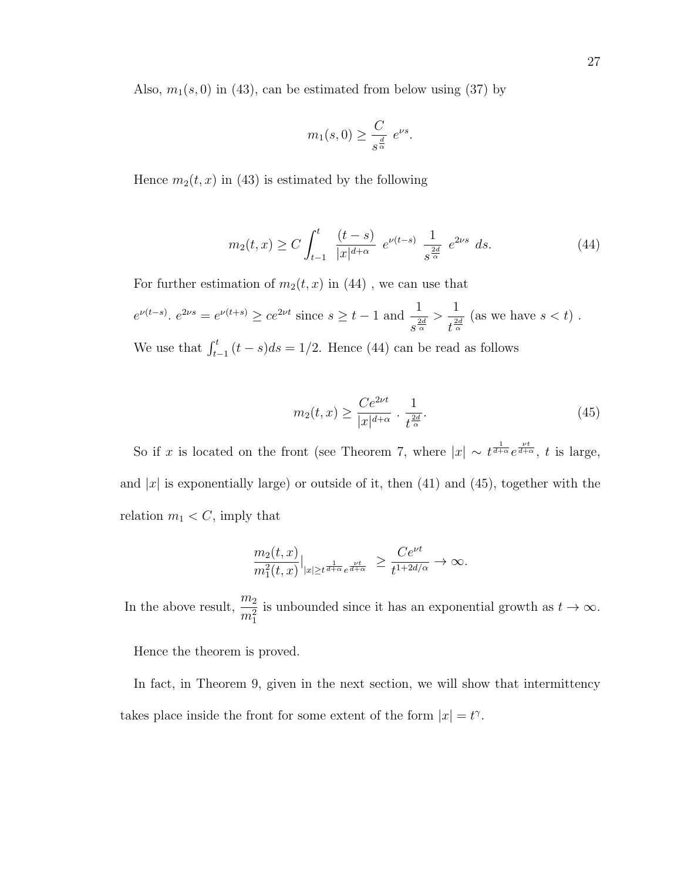Also,  $m_1(s, 0)$  in (43), can be estimated from below using (37) by

$$
m_1(s,0) \ge \frac{C}{s^{\frac{d}{\alpha}}} e^{\nu s}.
$$

Hence  $m_2(t, x)$  in (43) is estimated by the following

$$
m_2(t,x) \ge C \int_{t-1}^t \frac{(t-s)}{|x|^{d+\alpha}} e^{\nu(t-s)} \frac{1}{s^{\frac{2d}{\alpha}}} e^{2\nu s} ds.
$$
 (44)

For further estimation of  $m_2(t, x)$  in (44), we can use that

$$
e^{\nu(t-s)}
$$
.  $e^{2\nu s} = e^{\nu(t+s)} \ge ce^{2\nu t}$  since  $s \ge t-1$  and  $\frac{1}{s^{\frac{2d}{\alpha}}} > \frac{1}{t^{\frac{2d}{\alpha}}}$  (as we have  $s < t$ ).

We use that  $\int_{t-1}^{t} (t-s)ds = 1/2$ . Hence (44) can be read as follows

$$
m_2(t,x) \ge \frac{Ce^{2\nu t}}{|x|^{d+\alpha}} \cdot \frac{1}{t^{\frac{2d}{\alpha}}}.\tag{45}
$$

So if x is located on the front (see Theorem 7, where  $|x| \sim t^{\frac{1}{d+\alpha}}e^{\frac{\nu t}{d+\alpha}}$ , t is large, and |x| is exponentially large) or outside of it, then  $(41)$  and  $(45)$ , together with the relation  $m_1 < C$ , imply that

$$
\frac{m_2(t,x)}{m_1^2(t,x)}|_{|x|\ge t^{\frac{1}{d+\alpha}}e^{\frac{\nu t}{d+\alpha}}}\ge \frac{Ce^{\nu t}}{t^{1+2d/\alpha}}\to \infty.
$$

In the above result,  $\frac{m_2}{2}$  $m_1^2$ is unbounded since it has an exponential growth as  $t \to \infty$ .

Hence the theorem is proved.

In fact, in Theorem 9, given in the next section, we will show that intermittency takes place inside the front for some extent of the form  $|x| = t^{\gamma}$ .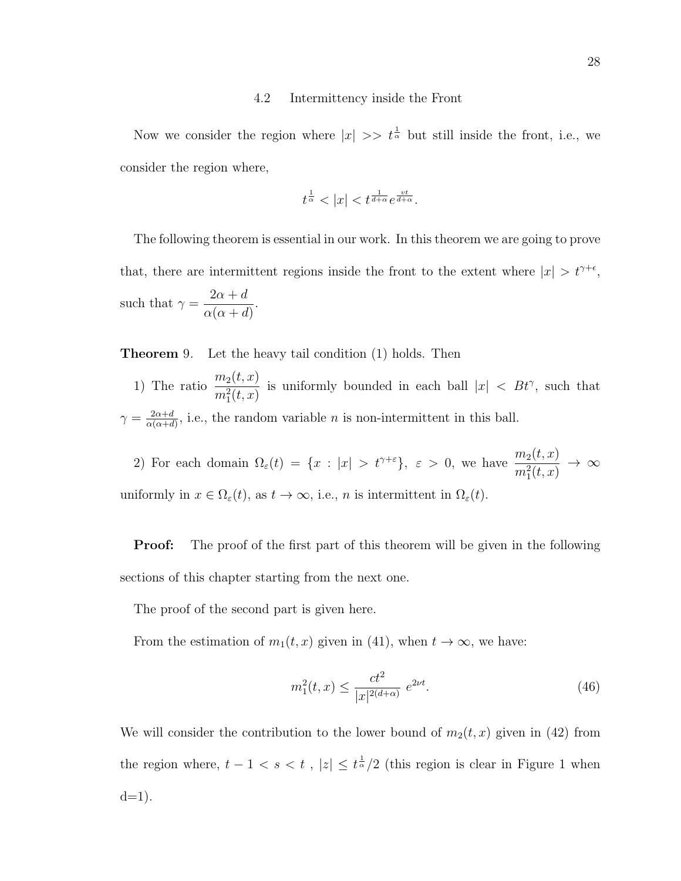#### 4.2 Intermittency inside the Front

Now we consider the region where  $|x| \gg t^{\frac{1}{\alpha}}$  but still inside the front, i.e., we consider the region where,

$$
t^{\frac{1}{\alpha}} < |x| < t^{\frac{1}{d+\alpha}} e^{\frac{vt}{d+\alpha}}.
$$

The following theorem is essential in our work. In this theorem we are going to prove that, there are intermittent regions inside the front to the extent where  $|x| > t^{\gamma+\epsilon}$ , such that  $\gamma =$  $2\alpha + d$  $\alpha(\alpha+d)$ .

**Theorem** 9. Let the heavy tail condition (1) holds. Then

1) The ratio  $\frac{m_2(t,x)}{2(t-x)}$  $m_1^2(t, x)$ is uniformly bounded in each ball  $|x| < B t^{\gamma}$ , such that  $\gamma = \frac{2\alpha+d}{\alpha(\alpha+d)}$  $\frac{2\alpha+d}{\alpha(\alpha+d)}$ , i.e., the random variable *n* is non-intermittent in this ball.

2) For each domain  $\Omega_{\varepsilon}(t) = \{x : |x| > t^{\gamma+\varepsilon}\}, \varepsilon > 0$ , we have  $\frac{m_2(t,x)}{m_1^2(t,x)}$  $\rightarrow \infty$ uniformly in  $x \in \Omega_{\varepsilon}(t)$ , as  $t \to \infty$ , i.e., n is intermittent in  $\Omega_{\varepsilon}(t)$ .

**Proof:** The proof of the first part of this theorem will be given in the following sections of this chapter starting from the next one.

The proof of the second part is given here.

From the estimation of  $m_1(t, x)$  given in (41), when  $t \to \infty$ , we have:

$$
m_1^2(t,x) \le \frac{ct^2}{|x|^{2(d+\alpha)}} e^{2\nu t}.
$$
\n(46)

We will consider the contribution to the lower bound of  $m_2(t, x)$  given in (42) from the region where,  $t-1 < s < t$ ,  $|z| \leq t^{\frac{1}{\alpha}}/2$  (this region is clear in Figure 1 when  $d=1$ ).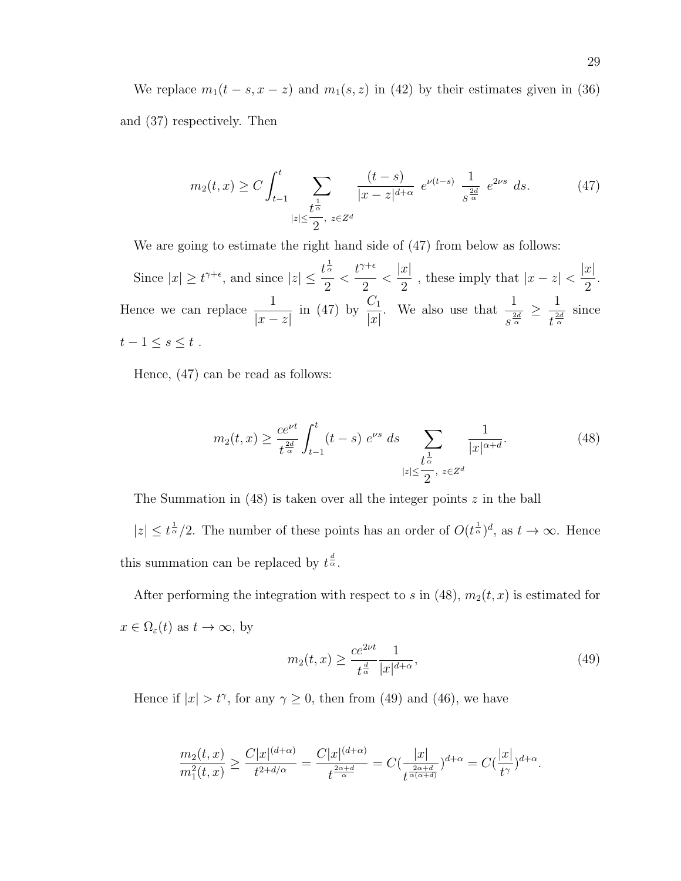We replace  $m_1(t - s, x - z)$  and  $m_1(s, z)$  in (42) by their estimates given in (36) and (37) respectively. Then

$$
m_2(t,x) \ge C \int_{t-1}^t \sum_{\substack{t^{\frac{1}{\alpha}} \\ |z| \le \frac{t^{\alpha}}{2}, \ z \in \mathbb{Z}^d}} \frac{(t-s)}{|x-z|^{d+\alpha}} e^{\nu(t-s)} \frac{1}{s^{\frac{2d}{\alpha}}} e^{2\nu s} ds. \tag{47}
$$

We are going to estimate the right hand side of  $(47)$  from below as follows:

Since  $|x| \ge t^{\gamma+\epsilon}$ , and since  $|z| \le \frac{t^{\frac{1}{\alpha}}}{2}$ 2  $\lt$  $t^{\gamma+\epsilon}$ 2  $\lt$  $|x|$ 2 , these imply that  $|x-z|$  $|x|$ 2 . Hence we can replace  $\frac{1}{1}$  $|x-z|$ in (47) by  $\frac{C_1}{1}$  $|x|$ . We also use that  $\frac{1}{2}$  $s^{\frac{2d}{\alpha}}$  $\geq \frac{1}{2}$  $\frac{1}{t^{\frac{2d}{\alpha}}}$  since  $t-1\leq s\leq t$ .

Hence, (47) can be read as follows:

$$
m_2(t,x) \ge \frac{ce^{\nu t}}{t^{\frac{2d}{\alpha}}} \int_{t-1}^t (t-s) e^{\nu s} ds \sum_{\substack{t \ge \frac{t}{\alpha}, \\ |z| \le \frac{t}{2}, \\ z \in \mathbb{Z}^d}} \frac{1}{|x|^{\alpha+d}}.
$$
 (48)

The Summation in  $(48)$  is taken over all the integer points z in the ball

 $|z| \leq t^{\frac{1}{\alpha}}/2$ . The number of these points has an order of  $O(t^{\frac{1}{\alpha}})^d$ , as  $t \to \infty$ . Hence this summation can be replaced by  $t^{\frac{d}{\alpha}}$ .

After performing the integration with respect to s in (48),  $m_2(t, x)$  is estimated for  $x \in \Omega_{\varepsilon}(t)$  as  $t \to \infty$ , by

$$
m_2(t,x) \ge \frac{ce^{2\nu t}}{t^{\frac{d}{\alpha}}}|x|^{d+\alpha},\tag{49}
$$

Hence if  $|x| > t^{\gamma}$ , for any  $\gamma \ge 0$ , then from (49) and (46), we have

$$
\frac{m_2(t,x)}{m_1^2(t,x)} \ge \frac{C|x|^{(d+\alpha)}}{t^{2+d/\alpha}} = \frac{C|x|^{(d+\alpha)}}{t^{\frac{2\alpha+d}{\alpha}}} = C\left(\frac{|x|}{t^{\frac{2\alpha+d}{\alpha(\alpha+d)}}}\right)^{d+\alpha} = C\left(\frac{|x|}{t^{\gamma}}\right)^{d+\alpha}.
$$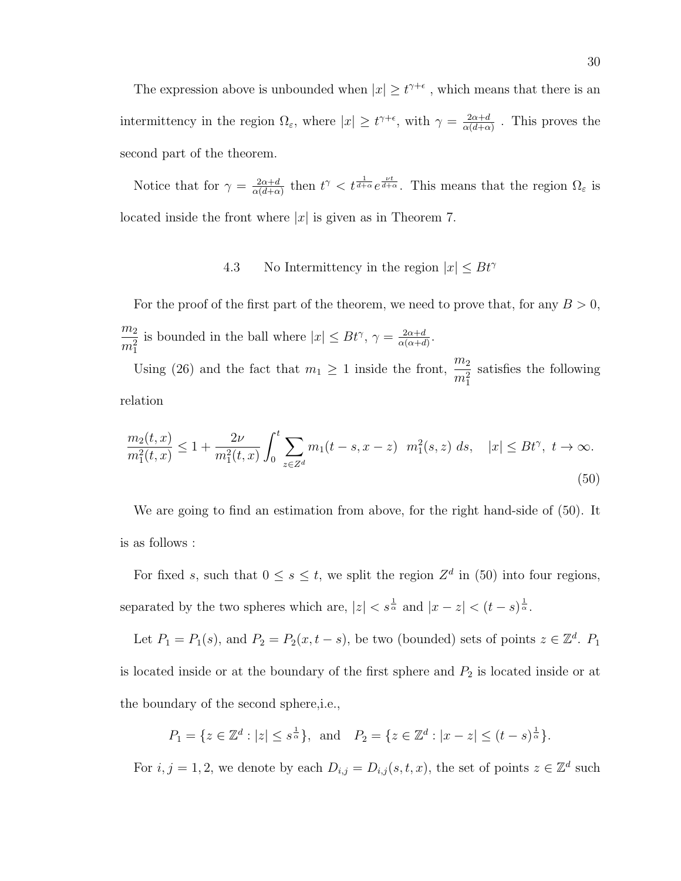The expression above is unbounded when  $|x| \geq t^{\gamma+\epsilon}$ , which means that there is an intermittency in the region  $\Omega_{\varepsilon}$ , where  $|x| \geq t^{\gamma+\epsilon}$ , with  $\gamma = \frac{2\alpha+d}{\alpha(d+\alpha)}$  $\frac{2\alpha+d}{\alpha(d+\alpha)}$ . This proves the second part of the theorem.

Notice that for  $\gamma = \frac{2\alpha + d}{\alpha(d+\alpha)}$  $\frac{2\alpha+d}{\alpha(d+\alpha)}$  then  $t^{\gamma} < t^{\frac{1}{d+\alpha}}e^{\frac{\nu t}{d+\alpha}}$ . This means that the region  $\Omega_{\varepsilon}$  is located inside the front where  $|x|$  is given as in Theorem 7.

### 4.3 No Intermittency in the region  $|x| \leq B t^{\gamma}$

For the proof of the first part of the theorem, we need to prove that, for any  $B > 0$ ,  $m<sub>2</sub>$  $m_1^2$ is bounded in the ball where  $|x| \leq B t^{\gamma}$ ,  $\gamma = \frac{2\alpha + d}{\alpha(\alpha+d)}$  $\frac{2\alpha+d}{\alpha(\alpha+d)}$ .

Using (26) and the fact that  $m_1 \geq 1$  inside the front,  $\frac{m_2}{m_1^2}$ satisfies the following relation

$$
\frac{m_2(t,x)}{m_1^2(t,x)} \le 1 + \frac{2\nu}{m_1^2(t,x)} \int_0^t \sum_{z \in Z^d} m_1(t-s, x-z) \ m_1^2(s,z) \ ds, \quad |x| \le Bt^\gamma, \ t \to \infty.
$$
\n
$$
(50)
$$

We are going to find an estimation from above, for the right hand-side of (50). It is as follows :

For fixed s, such that  $0 \leq s \leq t$ , we split the region  $Z^d$  in (50) into four regions, separated by the two spheres which are,  $|z| < s^{\frac{1}{\alpha}}$  and  $|x - z| < (t - s)^{\frac{1}{\alpha}}$ .

Let  $P_1 = P_1(s)$ , and  $P_2 = P_2(x, t - s)$ , be two (bounded) sets of points  $z \in \mathbb{Z}^d$ .  $P_1$ is located inside or at the boundary of the first sphere and  $P_2$  is located inside or at the boundary of the second sphere,i.e.,

$$
P_1 = \{ z \in \mathbb{Z}^d : |z| \leq s^{\frac{1}{\alpha}} \}, \text{ and } P_2 = \{ z \in \mathbb{Z}^d : |x - z| \leq (t - s)^{\frac{1}{\alpha}} \}.
$$

For  $i, j = 1, 2$ , we denote by each  $D_{i,j} = D_{i,j}(s, t, x)$ , the set of points  $z \in \mathbb{Z}^d$  such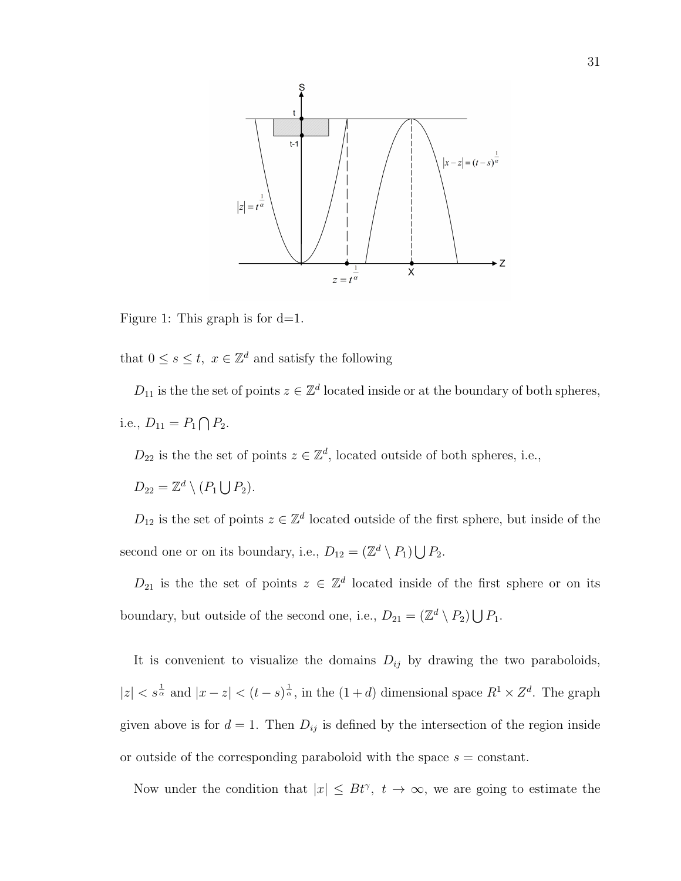

Figure 1: This graph is for  $d=1$ .

that  $0 \leq s \leq t$ ,  $x \in \mathbb{Z}^d$  and satisfy the following

 $D_{11}$  is the the set of points  $z \in \mathbb{Z}^d$  located inside or at the boundary of both spheres, i.e.,  $D_{11} = P_1 \bigcap P_2$ .

 $D_{22}$  is the the set of points  $z \in \mathbb{Z}^d$ , located outside of both spheres, i.e.,

 $D_{22} = \mathbb{Z}^d \setminus (P_1 \bigcup P_2).$ 

 $D_{12}$  is the set of points  $z \in \mathbb{Z}^d$  located outside of the first sphere, but inside of the second one or on its boundary, i.e.,  $D_{12} = (\mathbb{Z}^d \setminus P_1) \bigcup P_2$ .

 $D_{21}$  is the the set of points  $z \in \mathbb{Z}^d$  located inside of the first sphere or on its boundary, but outside of the second one, i.e.,  $D_{21} = (\mathbb{Z}^d \setminus P_2) \bigcup P_1$ .

It is convenient to visualize the domains  $D_{ij}$  by drawing the two paraboloids,  $|z| < s^{\frac{1}{\alpha}}$  and  $|x-z| < (t-s)^{\frac{1}{\alpha}}$ , in the  $(1+d)$  dimensional space  $R^1 \times Z^d$ . The graph given above is for  $d = 1$ . Then  $D_{ij}$  is defined by the intersection of the region inside or outside of the corresponding paraboloid with the space  $s = constant$ .

Now under the condition that  $|x| \leq B t^{\gamma}$ ,  $t \to \infty$ , we are going to estimate the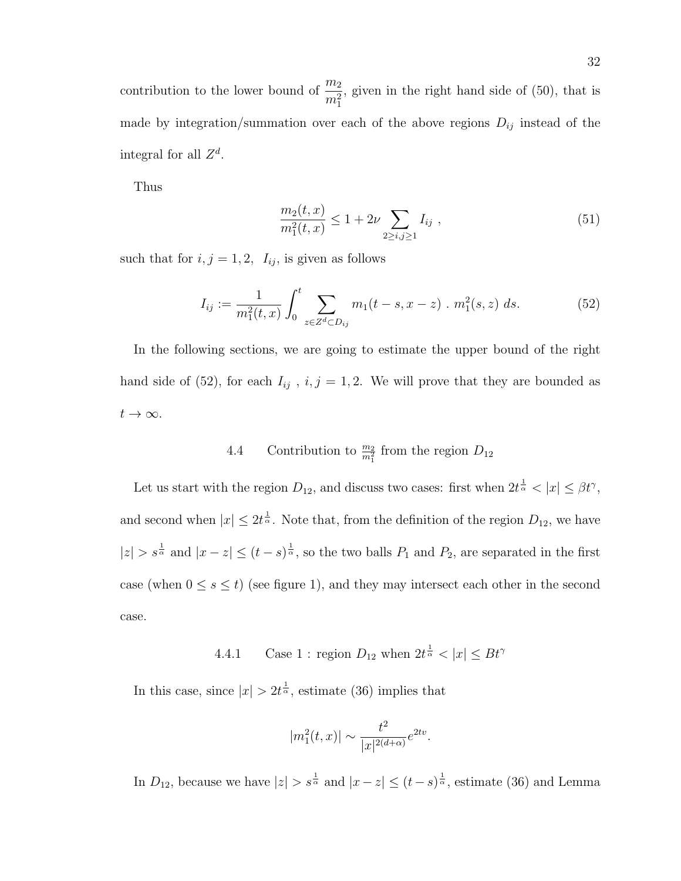contribution to the lower bound of  $\frac{m_2}{2}$  $m_1^2$ , given in the right hand side of (50), that is made by integration/summation over each of the above regions  $D_{ij}$  instead of the integral for all  $Z^d$ .

Thus

$$
\frac{m_2(t,x)}{m_1^2(t,x)} \le 1 + 2\nu \sum_{2 \ge i,j \ge 1} I_{ij} , \qquad (51)
$$

such that for  $i, j = 1, 2, I_{ij}$ , is given as follows

$$
I_{ij} := \frac{1}{m_1^2(t, x)} \int_0^t \sum_{z \in Z^d \subset D_{ij}} m_1(t - s, x - z) \cdot m_1^2(s, z) \, ds. \tag{52}
$$

In the following sections, we are going to estimate the upper bound of the right hand side of (52), for each  $I_{ij}$ ,  $i, j = 1, 2$ . We will prove that they are bounded as  $t\to\infty$ .

# 4.4 Contribution to  $\frac{m_2}{m_1^2}$  from the region  $D_{12}$

Let us start with the region  $D_{12}$ , and discuss two cases: first when  $2t^{\frac{1}{\alpha}} < |x| \leq \beta t^{\gamma}$ , and second when  $|x| \leq 2t^{\frac{1}{\alpha}}$ . Note that, from the definition of the region  $D_{12}$ , we have  $|z| > s^{\frac{1}{\alpha}}$  and  $|x-z| \le (t-s)^{\frac{1}{\alpha}}$ , so the two balls  $P_1$  and  $P_2$ , are separated in the first case (when  $0 \le s \le t$ ) (see figure 1), and they may intersect each other in the second case.

4.4.1 Case 1 : region  $D_{12}$  when  $2t^{\frac{1}{\alpha}} < |x| \le Bt^{\gamma}$ 

In this case, since  $|x| > 2t^{\frac{1}{\alpha}}$ , estimate (36) implies that

$$
|m_1^2(t,x)| \sim \frac{t^2}{|x|^{2(d+\alpha)}} e^{2tv}.
$$

In  $D_{12}$ , because we have  $|z| > s^{\frac{1}{\alpha}}$  and  $|x - z| \le (t - s)^{\frac{1}{\alpha}}$ , estimate (36) and Lemma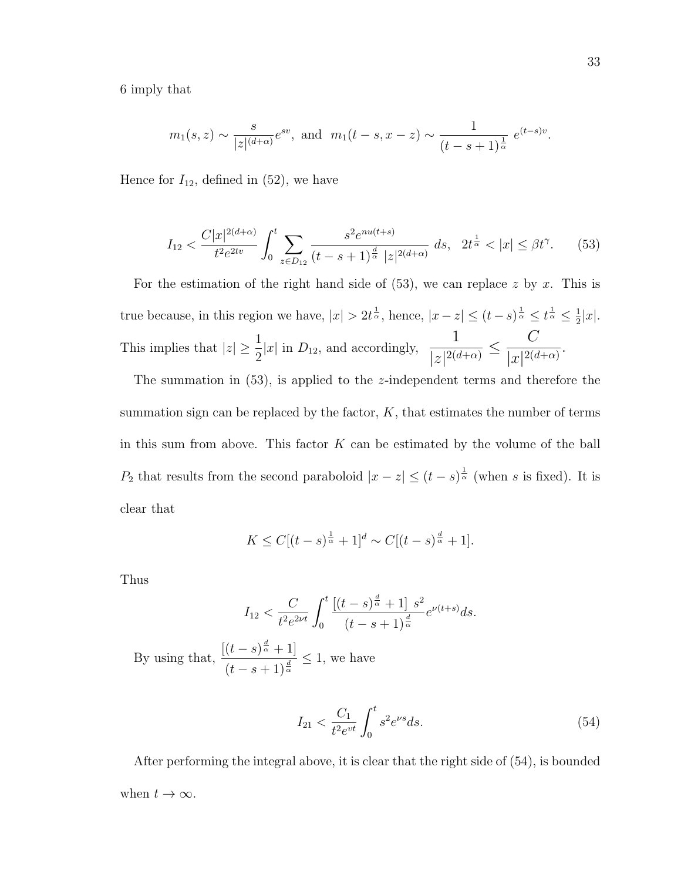6 imply that

$$
m_1(s, z) \sim \frac{s}{|z|^{(d+\alpha)}} e^{sv}
$$
, and  $m_1(t-s, x-z) \sim \frac{1}{(t-s+1)^{\frac{1}{\alpha}}} e^{(t-s)v}$ .

Hence for  $I_{12}$ , defined in (52), we have

$$
I_{12} < \frac{C|x|^{2(d+\alpha)}}{t^2 e^{2tv}} \int_0^t \sum_{z \in D_{12}} \frac{s^2 e^{nu(t+s)}}{(t-s+1)^{\frac{d}{\alpha}} |z|^{2(d+\alpha)}} \, ds, \quad 2t^{\frac{1}{\alpha}} < |x| \le \beta t^\gamma. \tag{53}
$$

For the estimation of the right hand side of  $(53)$ , we can replace z by x. This is true because, in this region we have,  $|x| > 2t^{\frac{1}{\alpha}}$ , hence,  $|x-z| \le (t-s)^{\frac{1}{\alpha}} \le t^{\frac{1}{\alpha}} \le \frac{1}{2}$  $\frac{1}{2}|x|$ . This implies that  $|z| \geq \frac{1}{2}$  $\frac{1}{2}|x|$  in  $D_{12}$ , and accordingly, 1  $\frac{1}{|z|^{2(d+\alpha)}} \leq$  $\mathcal{C}$  $\frac{c}{|x|^{2(d+\alpha)}}$ 

The summation in  $(53)$ , is applied to the *z*-independent terms and therefore the summation sign can be replaced by the factor,  $K$ , that estimates the number of terms in this sum from above. This factor  $K$  can be estimated by the volume of the ball  $P_2$  that results from the second paraboloid  $|x-z| \le (t-s)^{\frac{1}{\alpha}}$  (when s is fixed). It is clear that

$$
K \le C[(t-s)^{\frac{1}{\alpha}}+1]^d \sim C[(t-s)^{\frac{d}{\alpha}}+1].
$$

Thus

$$
I_{12} < \frac{C}{t^2 e^{2\nu t}} \int_0^t \frac{\left[ (t-s)^{\frac{d}{\alpha}} + 1 \right] s^2}{(t-s+1)^{\frac{d}{\alpha}}} e^{\nu(t+s)} ds.
$$

By using that,  $\frac{[(t-s)^{\frac{d}{\alpha}}+1]}{s}$  $\frac{(t-s)^{\frac{1}{\alpha}}+1}{(t-s+1)^{\frac{d}{\alpha}}} \leq 1$ , we have

$$
I_{21} < \frac{C_1}{t^2 e^{vt}} \int_0^t s^2 e^{\nu s} ds. \tag{54}
$$

After performing the integral above, it is clear that the right side of (54), is bounded when  $t \to \infty$ .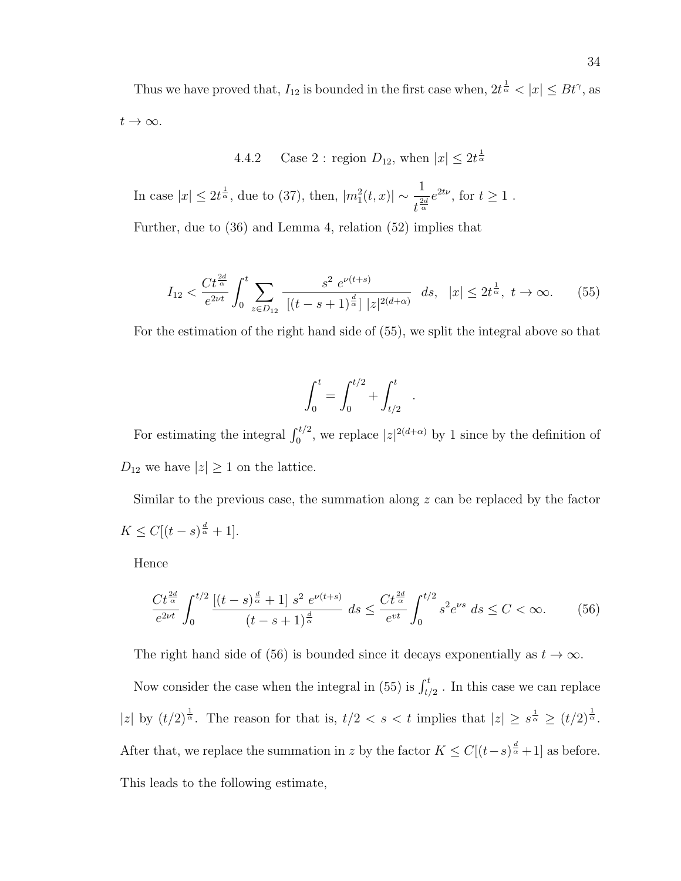Thus we have proved that,  $I_{12}$  is bounded in the first case when,  $2t^{\frac{1}{\alpha}} < |x| \le Bt^{\gamma}$ , as  $t\to\infty$ .

4.4.2 Case 2 : region  $D_{12}$ , when  $|x| \leq 2t^{\frac{1}{\alpha}}$ 

In case  $|x| \leq 2t^{\frac{1}{\alpha}}$ , due to (37), then,  $|m_1^2(t,x)| \sim \frac{1}{t^2}$  $\frac{1}{t^{\frac{2d}{\alpha}}}e^{2t\nu}$ , for  $t \geq 1$ .

Further, due to (36) and Lemma 4, relation (52) implies that

$$
I_{12} < \frac{Ct^{\frac{2d}{\alpha}}}{e^{2\nu t}} \int_0^t \sum_{z \in D_{12}} \frac{s^2 \ e^{\nu(t+s)}}{\left[ (t-s+1)^{\frac{d}{\alpha}} \right] |z|^{2(d+\alpha)}} \ ds, \ |x| \le 2t^{\frac{1}{\alpha}}, \ t \to \infty. \tag{55}
$$

For the estimation of the right hand side of (55), we split the integral above so that

$$
\int_0^t = \int_0^{t/2} + \int_{t/2}^t .
$$

For estimating the integral  $\int_0^{t/2}$ , we replace  $|z|^{2(d+\alpha)}$  by 1 since by the definition of  $D_{12}$  we have  $|z| \geq 1$  on the lattice.

Similar to the previous case, the summation along  $z$  can be replaced by the factor  $K \leq C[(t-s)^{\frac{d}{\alpha}}+1].$ 

Hence

$$
\frac{Ct^{\frac{2d}{\alpha}}}{e^{2\nu t}} \int_0^{t/2} \frac{[(t-s)^{\frac{d}{\alpha}}+1] s^2 e^{\nu(t+s)}}{(t-s+1)^{\frac{d}{\alpha}}} \, ds \le \frac{Ct^{\frac{2d}{\alpha}}}{e^{\nu t}} \int_0^{t/2} s^2 e^{\nu s} \, ds \le C < \infty. \tag{56}
$$

The right hand side of (56) is bounded since it decays exponentially as  $t \to \infty$ .

Now consider the case when the integral in (55) is  $\int_{t/2}^{t}$ . In this case we can replace |z| by  $(t/2)^{\frac{1}{\alpha}}$ . The reason for that is,  $t/2 < s < t$  implies that  $|z| \geq s^{\frac{1}{\alpha}} \geq (t/2)^{\frac{1}{\alpha}}$ . After that, we replace the summation in z by the factor  $K \leq C[(t-s)^{\frac{d}{\alpha}}+1]$  as before. This leads to the following estimate,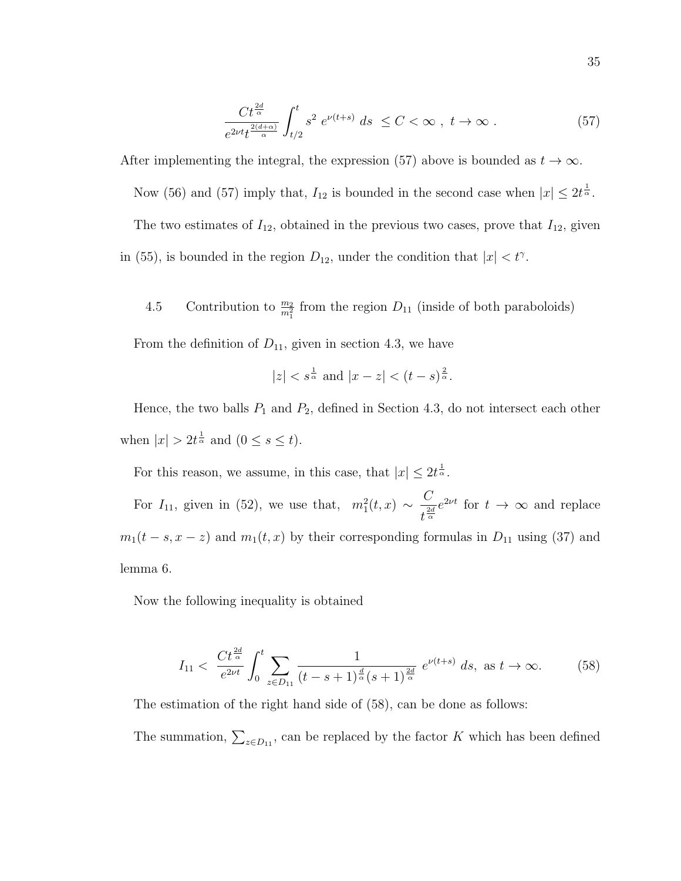$$
\frac{Ct^{\frac{2d}{\alpha}}}{e^{2\nu t}t^{\frac{2(d+\alpha)}{\alpha}}} \int_{t/2}^{t} s^2 e^{\nu(t+s)} ds \le C < \infty , t \to \infty .
$$
 (57)

After implementing the integral, the expression (57) above is bounded as  $t \to \infty$ . Now (56) and (57) imply that,  $I_{12}$  is bounded in the second case when  $|x| \leq 2t^{\frac{1}{\alpha}}$ . The two estimates of  $I_{12}$ , obtained in the previous two cases, prove that  $I_{12}$ , given in (55), is bounded in the region  $D_{12}$ , under the condition that  $|x| < t^{\gamma}$ .

4.5 Contribution to  $\frac{m_2}{m_1^2}$  from the region  $D_{11}$  (inside of both paraboloids)

From the definition of  $D_{11}$ , given in section 4.3, we have

$$
|z| < s^{\frac{1}{\alpha}}
$$
 and  $|x - z| < (t - s)^{\frac{2}{\alpha}}$ .

Hence, the two balls  $P_1$  and  $P_2$ , defined in Section 4.3, do not intersect each other when  $|x| > 2t^{\frac{1}{\alpha}}$  and  $(0 \leq s \leq t)$ .

For this reason, we assume, in this case, that  $|x| \leq 2t^{\frac{1}{\alpha}}$ .

For  $I_{11}$ , given in (52), we use that,  $m_1^2(t,x) \sim \frac{C}{t^2}$  $\frac{C}{t^{\frac{2d}{\alpha}}}e^{2\nu t}$  for  $t \to \infty$  and replace  $m_1(t - s, x - z)$  and  $m_1(t, x)$  by their corresponding formulas in  $D_{11}$  using (37) and lemma 6.

Now the following inequality is obtained

$$
I_{11} < \frac{Ct^{\frac{2d}{\alpha}}}{e^{2\nu t}} \int_0^t \sum_{z \in D_{11}} \frac{1}{(t - s + 1)^{\frac{d}{\alpha}} (s + 1)^{\frac{2d}{\alpha}}} \, e^{\nu(t + s)} \, ds, \text{ as } t \to \infty. \tag{58}
$$

The estimation of the right hand side of (58), can be done as follows:

The summation,  $\sum_{z \in D_{11}}$ , can be replaced by the factor K which has been defined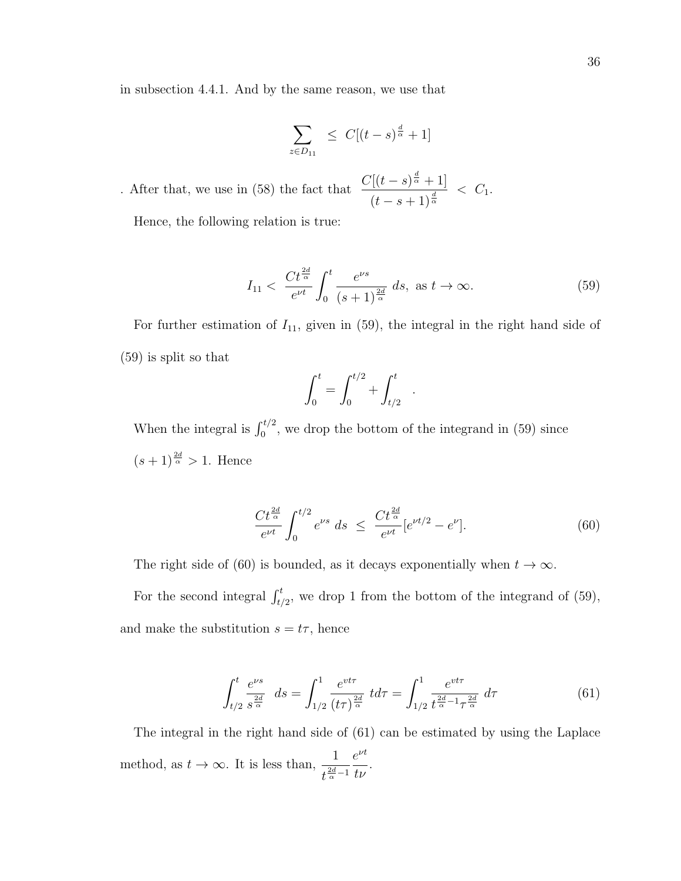in subsection 4.4.1. And by the same reason, we use that

$$
\sum_{z \in D_{11}} \leq C[(t-s)^{\frac{d}{\alpha}} + 1]
$$

. After that, we use in (58) the fact that  $\frac{C[(t-s)^{\frac{d}{\alpha}}+1]}{s}$  $\frac{1}{(t-s+1)^{\frac{d}{\alpha}}} < C_1.$ 

Hence, the following relation is true:

$$
I_{11} < \frac{Ct^{\frac{2d}{\alpha}}}{e^{\nu t}} \int_0^t \frac{e^{\nu s}}{(s+1)^{\frac{2d}{\alpha}}} \, ds, \text{ as } t \to \infty. \tag{59}
$$

For further estimation of  $I_{11}$ , given in (59), the integral in the right hand side of (59) is split so that

$$
\int_0^t = \int_0^{t/2} + \int_{t/2}^t .
$$

When the integral is  $\int_0^{t/2}$ , we drop the bottom of the integrand in (59) since  $(s+1)^{\frac{2d}{\alpha}} > 1$ . Hence

$$
\frac{Ct^{\frac{2d}{\alpha}}}{e^{\nu t}} \int_0^{t/2} e^{\nu s} ds \le \frac{Ct^{\frac{2d}{\alpha}}}{e^{\nu t}} [e^{\nu t/2} - e^{\nu}]. \tag{60}
$$

The right side of (60) is bounded, as it decays exponentially when  $t \to \infty$ .

For the second integral  $\int_{t/2}^{t}$ , we drop 1 from the bottom of the integrand of (59), and make the substitution  $s = t\tau$ , hence

$$
\int_{t/2}^{t} \frac{e^{\nu s}}{s^{\frac{2d}{\alpha}}} ds = \int_{1/2}^{1} \frac{e^{\nu t \tau}}{(t \tau)^{\frac{2d}{\alpha}}} t d\tau = \int_{1/2}^{1} \frac{e^{\nu t \tau}}{t^{\frac{2d}{\alpha} - 1} \tau^{\frac{2d}{\alpha}}} d\tau
$$
(61)

The integral in the right hand side of (61) can be estimated by using the Laplace method, as  $t \to \infty$ . It is less than,  $\frac{1}{2d}$  $t^{\frac{2d}{\alpha}-1}$  $e^{\nu t}$ tν .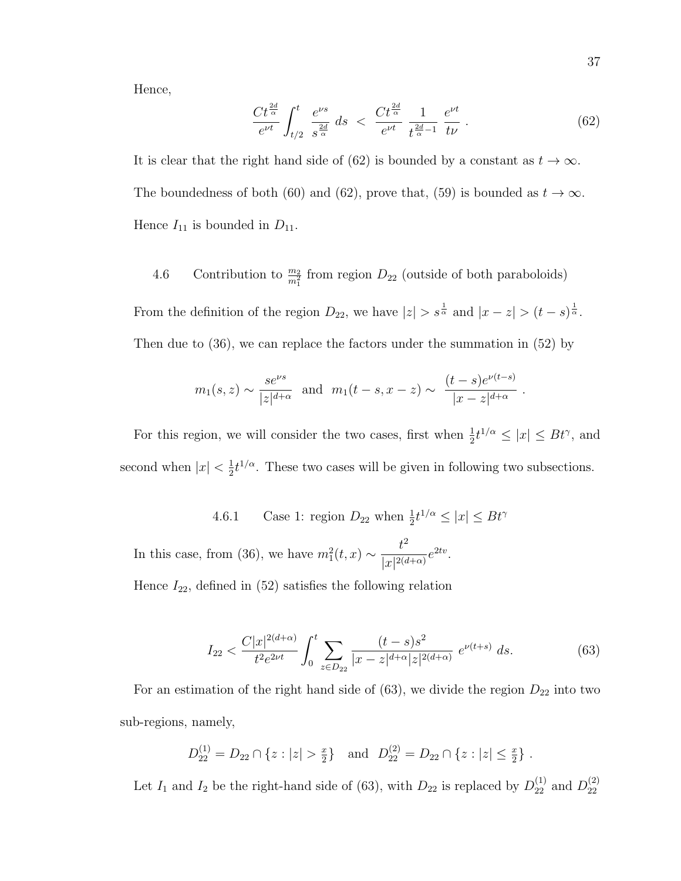Hence,

$$
\frac{Ct^{\frac{2d}{\alpha}}}{e^{\nu t}} \int_{t/2}^{t} \frac{e^{\nu s}}{s^{\frac{2d}{\alpha}}} ds < \frac{Ct^{\frac{2d}{\alpha}}}{e^{\nu t}} \frac{1}{t^{\frac{2d}{\alpha}-1}} \frac{e^{\nu t}}{t\nu} . \tag{62}
$$

It is clear that the right hand side of (62) is bounded by a constant as  $t \to \infty$ . The boundedness of both (60) and (62), prove that, (59) is bounded as  $t \to \infty$ . Hence  $I_{11}$  is bounded in  $D_{11}$ .

4.6 Contribution to  $\frac{m_2}{m_1^2}$  from region  $D_{22}$  (outside of both paraboloids)

From the definition of the region  $D_{22}$ , we have  $|z| > s^{\frac{1}{\alpha}}$  and  $|x - z| > (t - s)^{\frac{1}{\alpha}}$ . Then due to (36), we can replace the factors under the summation in (52) by

$$
m_1(s, z) \sim \frac{s e^{\nu s}}{|z|^{d+\alpha}}
$$
 and  $m_1(t-s, x-z) \sim \frac{(t-s)e^{\nu(t-s)}}{|x-z|^{d+\alpha}}$ .

For this region, we will consider the two cases, first when  $\frac{1}{2}t^{1/\alpha} \leq |x| \leq Bt^{\gamma}$ , and second when  $|x| < \frac{1}{2}$  $\frac{1}{2}t^{1/\alpha}$ . These two cases will be given in following two subsections.

4.6.1 Case 1: region  $D_{22}$  when  $\frac{1}{2}t^{1/\alpha} \leq |x| \leq Bt^{\gamma}$ 

In this case, from (36), we have  $m_1^2(t,x) \sim \frac{t^2}{\ln|z|}$  $\frac{\iota}{|x|^{2(d+\alpha)}}e^{2tv}.$ 

Hence  $I_{22}$ , defined in (52) satisfies the following relation

$$
I_{22} < \frac{C|x|^{2(d+\alpha)}}{t^2 e^{2\nu t}} \int_0^t \sum_{z \in D_{22}} \frac{(t-s)s^2}{|x-z|^{d+\alpha}|z|^{2(d+\alpha)}} \, e^{\nu(t+s)} \, ds. \tag{63}
$$

For an estimation of the right hand side of  $(63)$ , we divide the region  $D_{22}$  into two sub-regions, namely,

$$
D_{22}^{(1)} = D_{22} \cap \{z : |z| > \frac{x}{2}\} \text{ and } D_{22}^{(2)} = D_{22} \cap \{z : |z| \le \frac{x}{2}\}.
$$

Let  $I_1$  and  $I_2$  be the right-hand side of (63), with  $D_{22}$  is replaced by  $D_{22}^{(1)}$  and  $D_{22}^{(2)}$ 22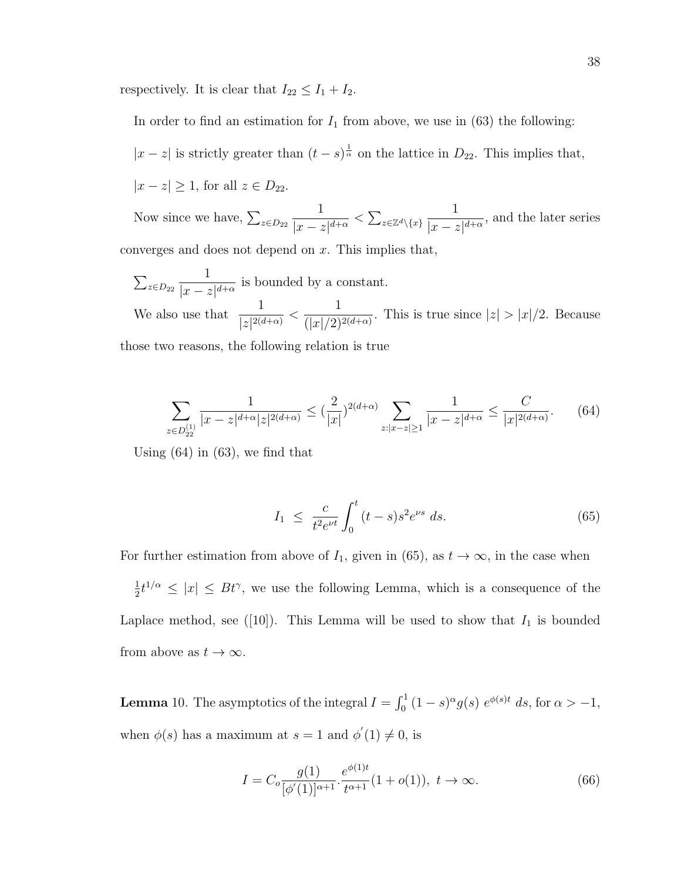respectively. It is clear that  $I_{22} \leq I_1 + I_2$ .

In order to find an estimation for  $I_1$  from above, we use in (63) the following:

$$
|x-z|
$$
 is strictly greater than  $(t-s)^{\frac{1}{\alpha}}$  on the lattice in  $D_{22}$ . This implies that,

 $|x - z| \geq 1$ , for all  $z \in D_{22}$ .

Now since we have,  $\sum_{z \in D_{22}}$ 1  $\frac{1}{|x-z|^{d+\alpha}} < \sum_{z \in \mathbb{Z}^d \setminus \{x\}}$ 1  $\frac{1}{|x-z|^{d+\alpha}}$ , and the later series converges and does not depend on  $x$ . This implies that,

$$
\sum_{z \in D_{22}} \frac{1}{|x - z|^{d + \alpha}}
$$
 is bounded by a constant.  
We also use that  $\frac{1}{|z|^{2(d + \alpha)}} < \frac{1}{(|x|/2)^{2(d + \alpha)}}$ . This is true since  $|z| > |x|/2$ . Because

those two reasons, the following relation is true

$$
\sum_{z \in D_{22}^{(1)}} \frac{1}{|x - z|^{d + \alpha} |z|^{2(d + \alpha)}} \le (\frac{2}{|x|})^{2(d + \alpha)} \sum_{z : |x - z| \ge 1} \frac{1}{|x - z|^{d + \alpha}} \le \frac{C}{|x|^{2(d + \alpha)}}. \tag{64}
$$

Using  $(64)$  in  $(63)$ , we find that

$$
I_1 \ \leq \ \frac{c}{t^2 e^{\nu t}} \int_0^t (t-s)s^2 e^{\nu s} \ ds. \tag{65}
$$

For further estimation from above of  $I_1$ , given in (65), as  $t \to \infty$ , in the case when

1  $\frac{1}{2}t^{1/\alpha} \leq |x| \leq Bt^{\gamma}$ , we use the following Lemma, which is a consequence of the Laplace method, see ([10]). This Lemma will be used to show that  $I_1$  is bounded from above as  $t \to \infty$ .

**Lemma** 10. The asymptotics of the integral  $I = \int_0^1 (1-s)^\alpha g(s) e^{\phi(s)t} ds$ , for  $\alpha > -1$ , when  $\phi(s)$  has a maximum at  $s = 1$  and  $\phi'(1) \neq 0$ , is

$$
I = C_o \frac{g(1)}{[\phi'(1)]^{\alpha+1}} \cdot \frac{e^{\phi(1)t}}{t^{\alpha+1}} (1 + o(1)), \ t \to \infty.
$$
 (66)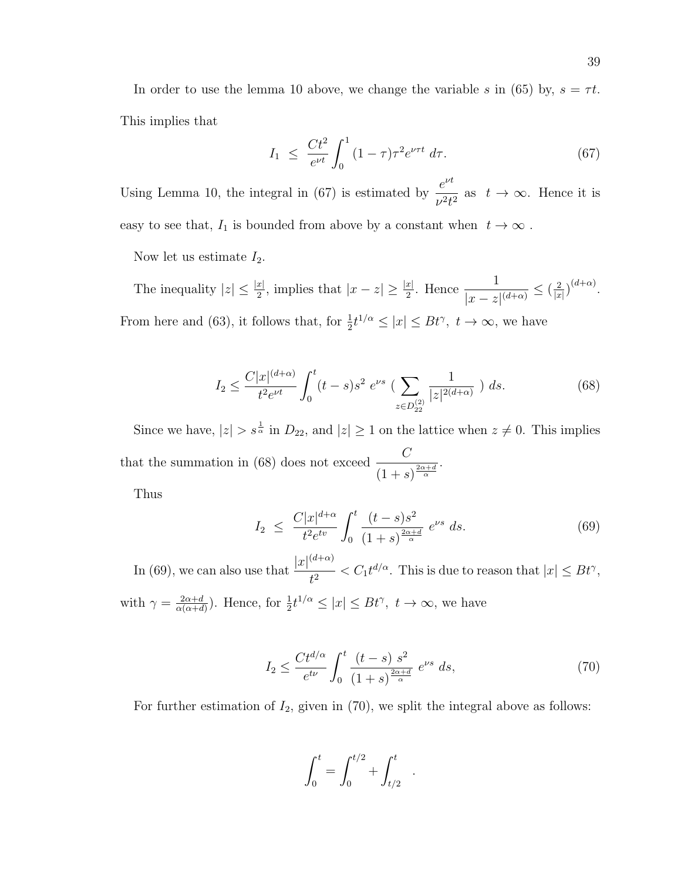In order to use the lemma 10 above, we change the variable s in (65) by,  $s = \tau t$ . This implies that

$$
I_1 \leq \frac{Ct^2}{e^{\nu t}} \int_0^1 (1 - \tau) \tau^2 e^{\nu \tau t} d\tau.
$$
 (67)

Using Lemma 10, the integral in (67) is estimated by  $\frac{e^{\nu t}}{2\nu}$  $\frac{c}{v^2t^2}$  as  $t \to \infty$ . Hence it is easy to see that,  $I_1$  is bounded from above by a constant when  $t \to \infty$ .

Now let us estimate  $I_2$ .

The inequality  $|z| \leq \frac{|x|}{2}$ , implies that  $|x-z| \geq \frac{|x|}{2}$ . Hence  $\frac{1}{|x-z|}$  $\frac{1}{|x-z|^{(d+\alpha)}} \leq \left(\frac{2}{|x|}\right)$  $\frac{2}{|x|}\big)^{(d+\alpha)}.$ From here and (63), it follows that, for  $\frac{1}{2}t^{1/\alpha} \leq |x| \leq Bt^{\gamma}$ ,  $t \to \infty$ , we have

$$
I_2 \le \frac{C|x|^{(d+\alpha)}}{t^2 e^{\nu t}} \int_0^t (t-s)s^2 \ e^{\nu s} \left( \sum_{z \in D_{22}^{(2)}} \frac{1}{|z|^{2(d+\alpha)}} \right) ds. \tag{68}
$$

Since we have,  $|z| > s^{\frac{1}{\alpha}}$  in  $D_{22}$ , and  $|z| \geq 1$  on the lattice when  $z \neq 0$ . This implies that the summation in (68) does not exceed  $\frac{C}{\sqrt{C}}$  $(1+s)^{\frac{2\alpha+d}{\alpha}}$ .

Thus

$$
I_2 \leq \frac{C|x|^{d+\alpha}}{t^2 e^{tv}} \int_0^t \frac{(t-s)s^2}{(1+s)^{\frac{2\alpha+d}{\alpha}}} e^{vs} ds. \tag{69}
$$

In (69), we can also use that  $\frac{|x|^{(d+\alpha)}}{2}$  $t^2 < C_1 t^{d/\alpha}$ . This is due to reason that  $|x| \le Bt^{\gamma}$ , with  $\gamma = \frac{2\alpha+d}{\alpha(\alpha+d)}$  $\frac{2\alpha+d}{\alpha(\alpha+d)}$ ). Hence, for  $\frac{1}{2}t^{1/\alpha} \leq |x| \leq Bt^{\gamma}$ ,  $t \to \infty$ , we have

$$
I_2 \le \frac{Ct^{d/\alpha}}{e^{t\nu}} \int_0^t \frac{(t-s) s^2}{(1+s)^{\frac{2\alpha+d}{\alpha}}} e^{\nu s} ds,
$$
 (70)

.

For further estimation of  $I_2$ , given in (70), we split the integral above as follows:

$$
\int_0^t = \int_0^{t/2} + \int_{t/2}^t
$$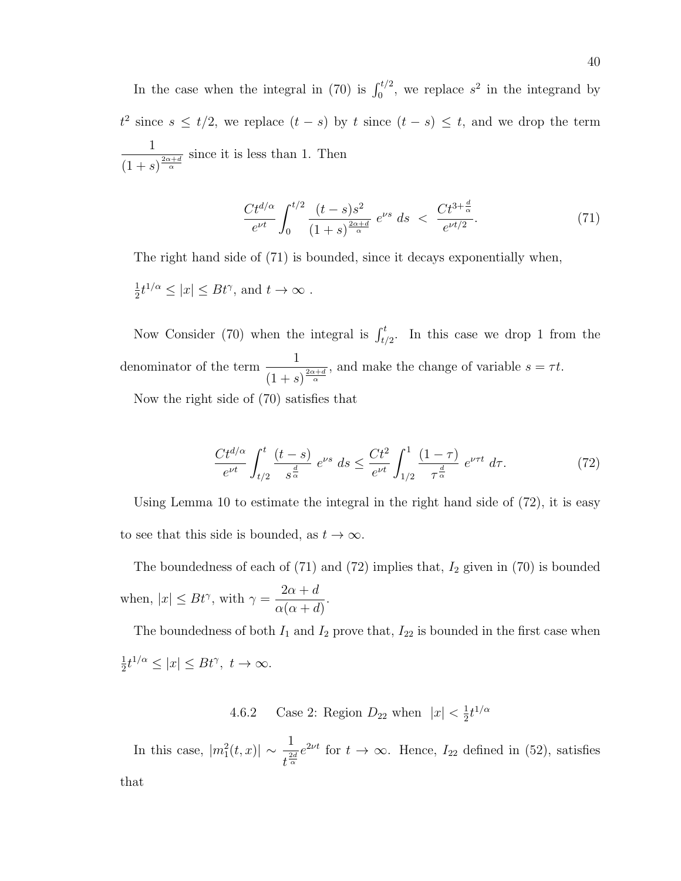In the case when the integral in (70) is  $\int_0^{t/2}$ , we replace  $s^2$  in the integrand by  $t^2$  since  $s \leq t/2$ , we replace  $(t - s)$  by t since  $(t - s) \leq t$ , and we drop the term 1  $(1+s)^{\frac{2\alpha+d}{\alpha}}$ since it is less than 1. Then

$$
\frac{Ct^{d/\alpha}}{e^{\nu t}} \int_0^{t/2} \frac{(t-s)s^2}{(1+s)^{\frac{2\alpha+d}{\alpha}}} e^{\nu s} ds < \frac{Ct^{3+\frac{d}{\alpha}}}{e^{\nu t/2}}.
$$
 (71)

The right hand side of (71) is bounded, since it decays exponentially when, 1  $\frac{1}{2}t^{1/\alpha} \leq |x| \leq Bt^{\gamma}$ , and  $t \to \infty$ .

Now Consider (70) when the integral is  $\int_{t/2}^{t}$ . In this case we drop 1 from the denominator of the term  $\frac{1}{\sqrt{1-\frac{1}{1-\frac{1}{1-\frac{1}{1-\frac{1}{1-\frac{1}{1-\frac{1}{1-\frac{1}{1-\frac{1}{1-\frac{1}{1-\frac{1}{1-\frac{1}{1-\frac{1}{1-\frac{1}{1-\frac{1}{1-\frac{1}{1-\frac{1}{1-\frac{1}{1-\frac{1}{1-\frac{1}{1-\frac{1}{1-\frac{1}{1-\frac{1}{1-\frac{1}{1-\frac{1}{1-\frac{1}{1-\frac{1}{1-\frac{1}{1-\frac{1}{1-\frac{1}{1-\frac{1}{1-\frac{1}{1-\$  $(1+s)^{\frac{2\alpha+d}{\alpha}}$ , and make the change of variable  $s = \tau t$ .

Now the right side of (70) satisfies that

$$
\frac{Ct^{d/\alpha}}{e^{\nu t}} \int_{t/2}^{t} \frac{(t-s)}{s^{\frac{d}{\alpha}}} e^{\nu s} ds \le \frac{Ct^2}{e^{\nu t}} \int_{1/2}^{1} \frac{(1-\tau)}{\tau^{\frac{d}{\alpha}}} e^{\nu \tau t} d\tau.
$$
 (72)

Using Lemma 10 to estimate the integral in the right hand side of  $(72)$ , it is easy to see that this side is bounded, as  $t \to \infty$ .

The boundedness of each of  $(71)$  and  $(72)$  implies that,  $I_2$  given in  $(70)$  is bounded when,  $|x| \leq Bt^{\gamma}$ , with  $\gamma =$  $2\alpha + d$  $\alpha(\alpha+d)$ .

The boundedness of both  $I_1$  and  $I_2$  prove that,  $I_{22}$  is bounded in the first case when 1  $\frac{1}{2}t^{1/\alpha} \leq |x| \leq Bt^{\gamma}, t \to \infty.$ 

> 4.6.2 Case 2: Region  $D_{22}$  when  $|x| < \frac{1}{2}$  $\frac{1}{2}t^{1/\alpha}$

In this case,  $|m_1^2(t,x)| \sim \frac{1}{t^2}$  $\frac{1}{t^{\frac{2d}{\alpha}}}e^{2\nu t}$  for  $t \to \infty$ . Hence,  $I_{22}$  defined in (52), satisfies that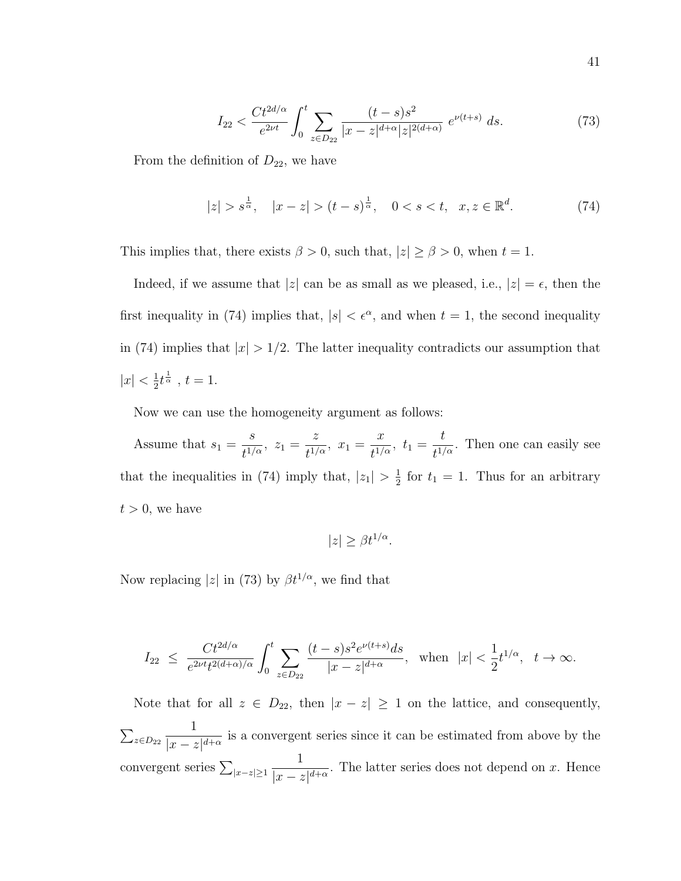$$
I_{22} < \frac{Ct^{2d/\alpha}}{e^{2\nu t}} \int_0^t \sum_{z \in D_{22}} \frac{(t-s)s^2}{|x-z|^{d+\alpha}|z|^{2(d+\alpha)}} \ e^{\nu(t+s)} \ ds. \tag{73}
$$

From the definition of  $D_{22}$ , we have

$$
|z| > s^{\frac{1}{\alpha}}, \quad |x - z| > (t - s)^{\frac{1}{\alpha}}, \quad 0 < s < t, \quad x, z \in \mathbb{R}^d.
$$
 (74)

This implies that, there exists  $\beta > 0$ , such that,  $|z| \ge \beta > 0$ , when  $t = 1$ .

Indeed, if we assume that  $|z|$  can be as small as we pleased, i.e.,  $|z| = \epsilon$ , then the first inequality in (74) implies that,  $|s| < \epsilon^{\alpha}$ , and when  $t = 1$ , the second inequality in (74) implies that  $|x| > 1/2$ . The latter inequality contradicts our assumption that  $|x| < \frac{1}{2}$  $\frac{1}{2}t^{\frac{1}{\alpha}}$ ,  $t=1$ .

Now we can use the homogeneity argument as follows:

Assume that  $s_1 =$ s  $\frac{c}{t^{1/\alpha}}, z_1 =$ z  $\frac{z}{t^{1/\alpha}}, x_1 =$  $\overline{x}$  $\frac{x}{t^{1/\alpha}}, t_1 =$ t  $\frac{v}{t^{1/\alpha}}$ . Then one can easily see that the inequalities in (74) imply that,  $|z_1| > \frac{1}{2}$  $\frac{1}{2}$  for  $t_1 = 1$ . Thus for an arbitrary  $t > 0$ , we have

$$
|z| \ge \beta t^{1/\alpha}.
$$

Now replacing  $|z|$  in (73) by  $\beta t^{1/\alpha}$ , we find that

$$
I_{22} \ \leq \ \frac{C t^{2d/\alpha}}{e^{2\nu t} t^{2(d+\alpha)/\alpha}} \int_0^t \sum_{z \in D_{22}} \frac{(t-s) s^2 e^{\nu(t+s)} ds}{|x-z|^{d+\alpha}}, \ \ \text{when} \ \ |x| < \frac{1}{2} t^{1/\alpha}, \ \ t \to \infty.
$$

Note that for all  $z \in D_{22}$ , then  $|x - z| \ge 1$  on the lattice, and consequently,  $\sum_{z\in D_{22}}$ 1  $\frac{1}{|x-z|^{d+\alpha}}$  is a convergent series since it can be estimated from above by the convergent series  $\sum_{|x-z|\geq 1}$ 1  $\frac{1}{|x-z|^{d+\alpha}}$ . The latter series does not depend on x. Hence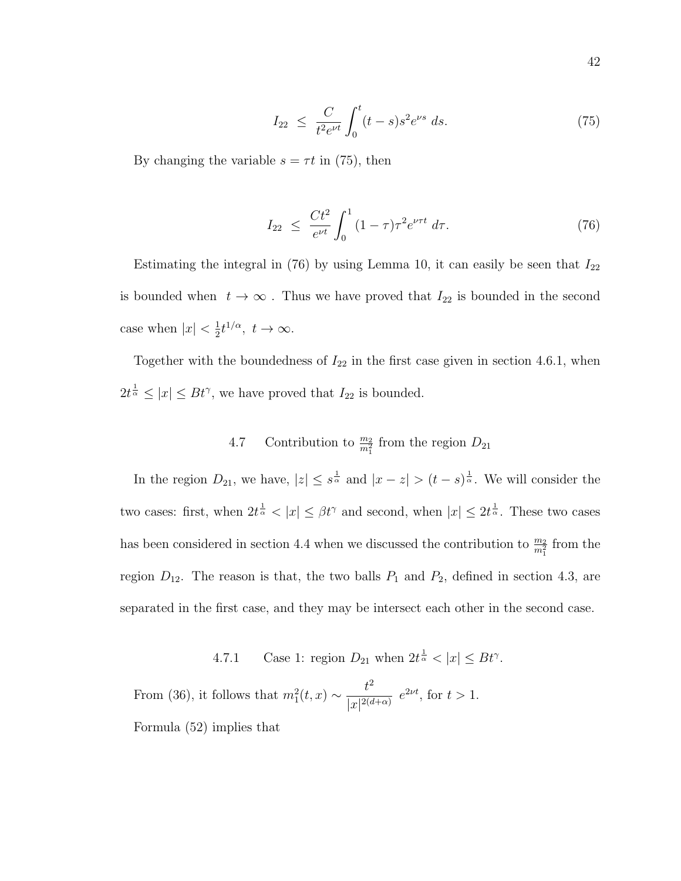$$
I_{22} \leq \frac{C}{t^2 e^{\nu t}} \int_0^t (t-s)s^2 e^{\nu s} ds. \tag{75}
$$

By changing the variable  $s = \tau t$  in (75), then

$$
I_{22} \leq \frac{Ct^2}{e^{\nu t}} \int_0^1 (1-\tau)\tau^2 e^{\nu \tau t} d\tau.
$$
 (76)

Estimating the integral in (76) by using Lemma 10, it can easily be seen that  $I_{22}$ is bounded when  $t \to \infty$ . Thus we have proved that  $I_{22}$  is bounded in the second case when  $|x| < \frac{1}{2}$  $\frac{1}{2}t^{1/\alpha}, t \to \infty.$ 

Together with the boundedness of  $I_{22}$  in the first case given in section 4.6.1, when  $2t^{\frac{1}{\alpha}} \leq |x| \leq Bt^{\gamma}$ , we have proved that  $I_{22}$  is bounded.

# 4.7 Contribution to  $\frac{m_2}{m_1^2}$  from the region  $D_{21}$

In the region  $D_{21}$ , we have,  $|z| \leq s^{\frac{1}{\alpha}}$  and  $|x - z| > (t - s)^{\frac{1}{\alpha}}$ . We will consider the two cases: first, when  $2t^{\frac{1}{\alpha}} < |x| \leq \beta t^{\gamma}$  and second, when  $|x| \leq 2t^{\frac{1}{\alpha}}$ . These two cases has been considered in section 4.4 when we discussed the contribution to  $\frac{m_2}{m_1^2}$  from the region  $D_{12}$ . The reason is that, the two balls  $P_1$  and  $P_2$ , defined in section 4.3, are separated in the first case, and they may be intersect each other in the second case.

4.7.1 Case 1: region  $D_{21}$  when  $2t^{\frac{1}{\alpha}} < |x| \le Bt^{\gamma}$ .

From (36), it follows that  $m_1^2(t,x) \sim \frac{t^2}{\ln|2|^d}$  $\frac{\epsilon}{|x|^{2(d+\alpha)}} e^{2\nu t}$ , for  $t > 1$ .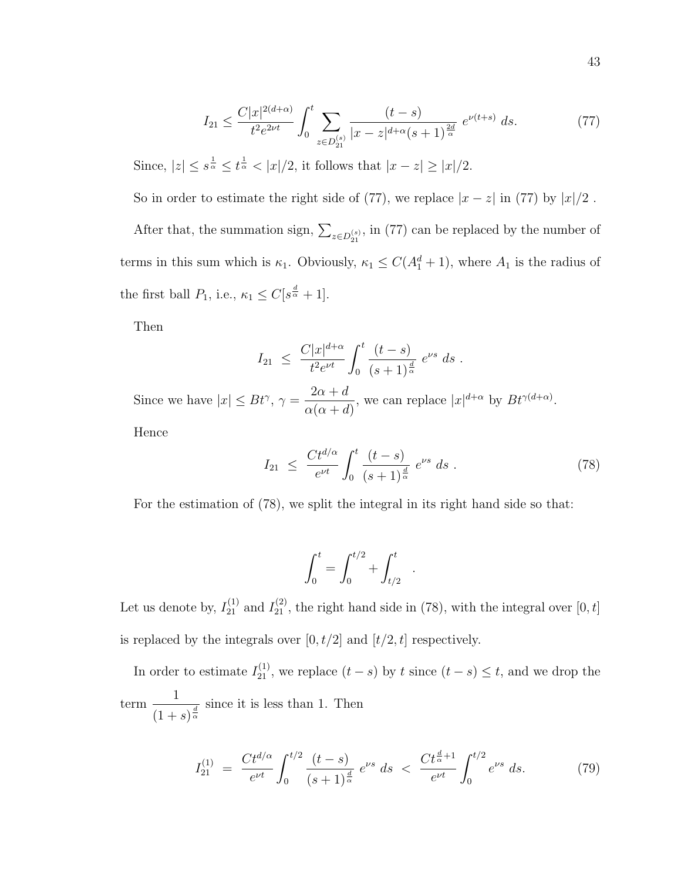$$
I_{21} \le \frac{C|x|^{2(d+\alpha)}}{t^2 e^{2\nu t}} \int_0^t \sum_{z \in D_{21}^{(s)}} \frac{(t-s)}{|x-z|^{d+\alpha}(s+1)^{\frac{2d}{\alpha}}} e^{\nu(t+s)} ds. \tag{77}
$$

Since,  $|z| \leq s^{\frac{1}{\alpha}} \leq t^{\frac{1}{\alpha}} < |x|/2$ , it follows that  $|x-z| \geq |x|/2$ .

So in order to estimate the right side of (77), we replace  $|x - z|$  in (77) by  $|x|/2$ .

After that, the summation sign,  $\sum_{z \in D_{21}^{(s)}}$ , in (77) can be replaced by the number of terms in this sum which is  $\kappa_1$ . Obviously,  $\kappa_1 \leq C(A_1^d + 1)$ , where  $A_1$  is the radius of the first ball  $P_1$ , i.e.,  $\kappa_1 \leq C[s^{\frac{d}{\alpha}}+1]$ .

Then

$$
I_{21} \ \leq \ \frac{C|x|^{d+\alpha}}{t^2 e^{\nu t}} \int_0^t \frac{(t-s)}{(s+1)^{\frac{d}{\alpha}}} \ e^{\nu s} \ ds \ .
$$

Since we have  $|x| \leq Bt^{\gamma}, \gamma =$  $2\alpha + d$  $\alpha(\alpha+d)$ , we can replace  $|x|^{d+\alpha}$  by  $Bt^{\gamma(d+\alpha)}$ .

Hence

$$
I_{21} \ \leq \ \frac{C t^{d/\alpha}}{e^{\nu t}} \int_0^t \frac{(t-s)}{(s+1)^{\frac{d}{\alpha}}} \ e^{\nu s} \ ds \ . \tag{78}
$$

For the estimation of (78), we split the integral in its right hand side so that:

$$
\int_0^t = \int_0^{t/2} + \int_{t/2}^t .
$$

Let us denote by,  $I_{21}^{(1)}$  and  $I_{21}^{(2)}$ , the right hand side in (78), with the integral over [0, t] is replaced by the integrals over  $[0,t/2]$  and  $[t/2,t]$  respectively.

In order to estimate  $I_{21}^{(1)}$ , we replace  $(t-s)$  by t since  $(t-s) \leq t$ , and we drop the term 1  $\frac{1}{(1 + s)^{\frac{d}{\alpha}}}$  since it is less than 1. Then

$$
I_{21}^{(1)} = \frac{Ct^{d/\alpha}}{e^{\nu t}} \int_0^{t/2} \frac{(t-s)}{(s+1)^{\frac{d}{\alpha}}} e^{\nu s} ds < \frac{Ct^{\frac{d}{\alpha}+1}}{e^{\nu t}} \int_0^{t/2} e^{\nu s} ds. \tag{79}
$$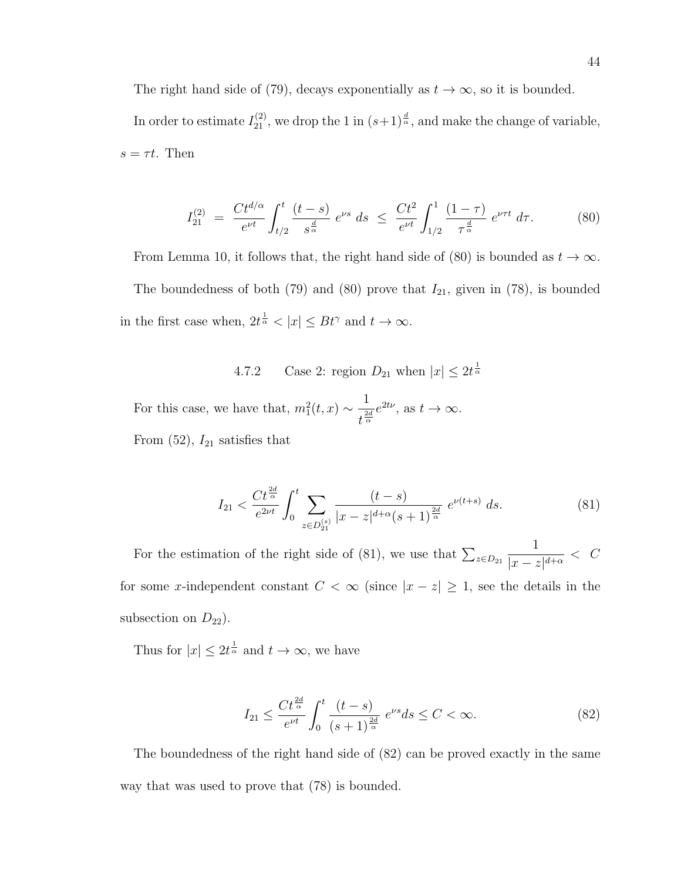The right hand side of (79), decays exponentially as  $t \to \infty$ , so it is bounded. In order to estimate  $I_{21}^{(2)}$ , we drop the 1 in  $(s+1)^{\frac{d}{\alpha}}$ , and make the change of variable,  $s = \tau t$ . Then

$$
I_{21}^{(2)} = \frac{Ct^{d/\alpha}}{e^{\nu t}} \int_{t/2}^{t} \frac{(t-s)}{s^{\frac{d}{\alpha}}} e^{\nu s} ds \le \frac{Ct^2}{e^{\nu t}} \int_{1/2}^{1} \frac{(1-\tau)}{\tau^{\frac{d}{\alpha}}} e^{\nu \tau t} d\tau.
$$
 (80)

From Lemma 10, it follows that, the right hand side of (80) is bounded as  $t \to \infty$ . The boundedness of both (79) and (80) prove that  $I_{21}$ , given in (78), is bounded in the first case when,  $2t^{\frac{1}{\alpha}} < |x| \le Bt^{\gamma}$  and  $t \to \infty$ .

4.7.2 Case 2: region  $D_{21}$  when  $|x| \leq 2t^{\frac{1}{\alpha}}$ 

For this case, we have that,  $m_1^2(t,x) \sim \frac{1}{t^2}$  $\frac{1}{t^{\frac{2d}{\alpha}}}e^{2t\nu}$ , as  $t\to\infty$ . From  $(52)$ ,  $I_{21}$  satisfies that

$$
I_{21} < \frac{Ct^{\frac{2d}{\alpha}}}{e^{2\nu t}} \int_0^t \sum_{z \in D_{21}^{(s)}} \frac{(t-s)}{|x-z|^{d+\alpha}(s+1)^{\frac{2d}{\alpha}}} e^{\nu(t+s)} ds. \tag{81}
$$

For the estimation of the right side of (81), we use that  $\sum_{z \in D_{21}}$ 1  $\frac{1}{|x-z|^{d+\alpha}} < C$ for some x-independent constant  $C < \infty$  (since  $|x - z| \ge 1$ , see the details in the subsection on  $D_{22}$ ).

Thus for  $|x| \leq 2t^{\frac{1}{\alpha}}$  and  $t \to \infty$ , we have

$$
I_{21} \le \frac{Ct^{\frac{2d}{\alpha}}}{e^{\nu t}} \int_0^t \frac{(t-s)}{(s+1)^{\frac{2d}{\alpha}}} e^{\nu s} ds \le C < \infty.
$$
 (82)

The boundedness of the right hand side of (82) can be proved exactly in the same way that was used to prove that (78) is bounded.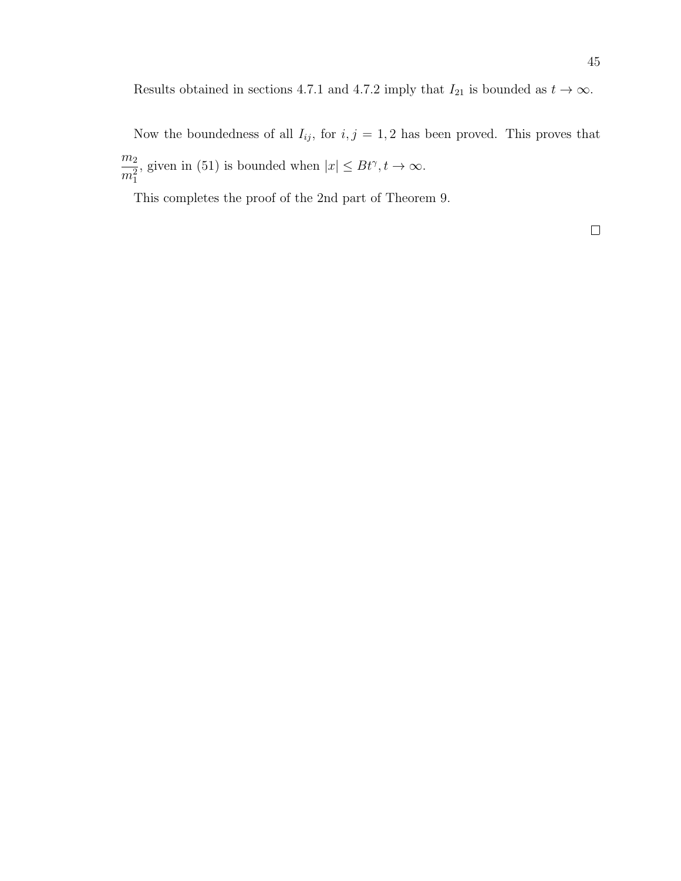Results obtained in sections 4.7.1 and 4.7.2 imply that  $I_{21}$  is bounded as  $t \to \infty$ .

Now the boundedness of all  $I_{ij}$ , for  $i, j = 1, 2$  has been proved. This proves that  $m<sub>2</sub>$  $m_1^2$ , given in (51) is bounded when  $|x| \le Bt^{\gamma}, t \to \infty$ .

This completes the proof of the 2nd part of Theorem 9.

 $\Box$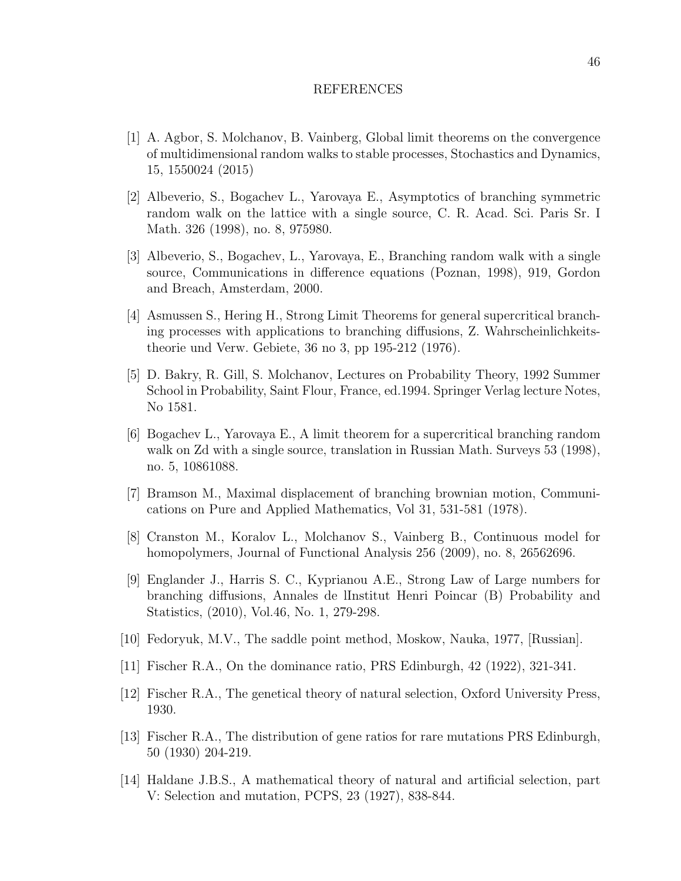#### REFERENCES

- [1] A. Agbor, S. Molchanov, B. Vainberg, Global limit theorems on the convergence of multidimensional random walks to stable processes, Stochastics and Dynamics, 15, 1550024 (2015)
- [2] Albeverio, S., Bogachev L., Yarovaya E., Asymptotics of branching symmetric random walk on the lattice with a single source, C. R. Acad. Sci. Paris Sr. I Math. 326 (1998), no. 8, 975980.
- [3] Albeverio, S., Bogachev, L., Yarovaya, E., Branching random walk with a single source, Communications in difference equations (Poznan, 1998), 919, Gordon and Breach, Amsterdam, 2000.
- [4] Asmussen S., Hering H., Strong Limit Theorems for general supercritical branching processes with applications to branching diffusions, Z. Wahrscheinlichkeitstheorie und Verw. Gebiete, 36 no 3, pp 195-212 (1976).
- [5] D. Bakry, R. Gill, S. Molchanov, Lectures on Probability Theory, 1992 Summer School in Probability, Saint Flour, France, ed.1994. Springer Verlag lecture Notes, No 1581.
- [6] Bogachev L., Yarovaya E., A limit theorem for a supercritical branching random walk on Zd with a single source, translation in Russian Math. Surveys 53 (1998), no. 5, 10861088.
- [7] Bramson M., Maximal displacement of branching brownian motion, Communications on Pure and Applied Mathematics, Vol 31, 531-581 (1978).
- [8] Cranston M., Koralov L., Molchanov S., Vainberg B., Continuous model for homopolymers, Journal of Functional Analysis 256 (2009), no. 8, 26562696.
- [9] Englander J., Harris S. C., Kyprianou A.E., Strong Law of Large numbers for branching diffusions, Annales de lInstitut Henri Poincar (B) Probability and Statistics, (2010), Vol.46, No. 1, 279-298.
- [10] Fedoryuk, M.V., The saddle point method, Moskow, Nauka, 1977, [Russian].
- [11] Fischer R.A., On the dominance ratio, PRS Edinburgh, 42 (1922), 321-341.
- [12] Fischer R.A., The genetical theory of natural selection, Oxford University Press, 1930.
- [13] Fischer R.A., The distribution of gene ratios for rare mutations PRS Edinburgh, 50 (1930) 204-219.
- [14] Haldane J.B.S., A mathematical theory of natural and artificial selection, part V: Selection and mutation, PCPS, 23 (1927), 838-844.